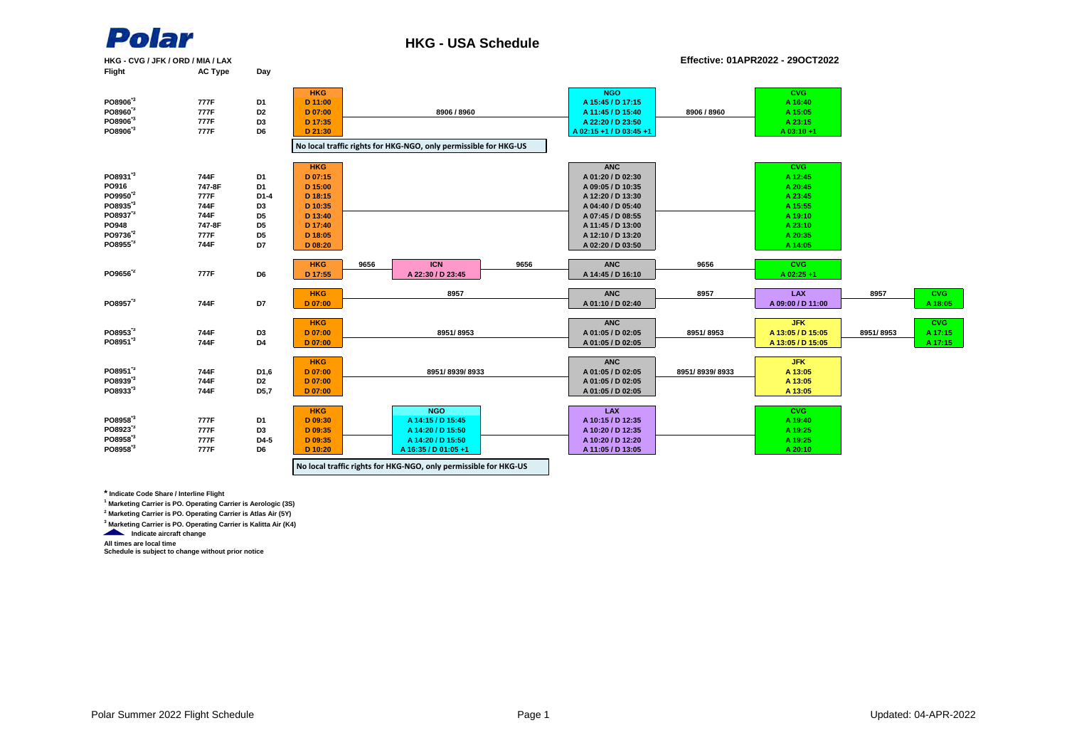

**PO8906\*3 777F D6**

**PO8955\*3 744F D7**

**PO8951\*3 744F D4**

**PO8933\*3 744F D5,7**

**PO8923\*3 777F D3**

**PO8958\*3 777F D6**

#### **HKG - USA Schedule**

**HKG ANC**

**HKG LAX**

**D 09:35 A 10:20 / D 12:35 A 14:20 / D 15:50**

**D 07:00 A 01:05 / D 02:05**

**D 09:35 A 14:20 / D 15:50 A 10:20 / D 12:20**

**8951/ 8939/ 8933**

**NGO**<br>**A 14:15 / D 15:45** 

**No local traffic rights for HKG-NGO, only permissible for HKG-US**

**HKG - CVG / JFK / ORD / MIA / LAX Effective: 01APR2022 - 29OCT2022 AC Type PO8906\*3 777F D1 PO8960\*3 777F D2 PO8906\*3 777F D3 PO8931\*3 744F D1 PO916 747-8F D1 PO9950\*2 777F D1-4 PO8935\*3 744F D3 PO8937\*3 744F D5 PO948 747-8F D5 PO9736\*2 777F D5 PO9656\*2 777F D6 PO8957\*3 744F D7 PO8953\*3 744F D3 8957 8957 CVG HKG** 9656 | ICN | 9656 | ANC | 9656 | CVG **D 17:35 A 22:20 / D 23:50 HKG**<br>**D** 07:15 **D 07:15 A 01:20 / D 02:30 A 12:45 D 07:00 A 01:10 / D 02:40 A 14:45 / D 16:10 A 12:20 / D 13:30 A 23:45 A 09:05 / D 10:35 A 20:45 ICN D 15:00 D 18:15 D 07:00 A 01:05 / D 02:05 8951/ 8953 D 07:00 A 11:45 / D 15:40 A 15:05 JFK A 13:05 / D 15:05 D 21:30 A 02:15 +1 / D 03:45 +1 A 03:10 +1 A 14:05 A 23:15 ANC CVG D 10:35 A 04:40 / D 05:40 A 15:55 D 13:40 A 07:45 / D 08:55 A 19:10 D 08:20 A 02:20 / D 03:50 HKG NGO CVG 8906 / 8960 8906 / 8960 D 11:00 A 15:45 / D 17:15 A 16:40 D 17:40 A 11:45 / D 13:00 A 23:10 D 18:05 A 12:10 / D 13:20 A 20:35 8951/ 8953 ANC 8951/ 8953 HKG 8957 ANC LAX A 02:25 +1 9656 9656 9656 A 09:00 / D 11:00 HKG D 17:55 A 22:30 / D 23:45 No local traffic rights for HKG-NGO, only permissible for HKG-US**

**D 07:00 A 01:05 / D 02:05 A 13:05**

**D 10:20 A 16:35 / D 01:05 +1 A 11:05 / D 13:05 A 20:10**

**D 09:30 A 14:15 / D 15:45 A 10:15 / D 12:35 A 19:40**

**D 07:00 A 01:05 / D 02:05 A 13:05**

**D 07:00 A 01:05 / D 02:05 A 13:05 / D 15:05 A 17:15**

**8951/ 8939/ 8933**

**A 13:05**

**CVG**<br>A 19:40 **A 19:25 A 19:25**

**JFK**<br>A 13:05

**\* Indicate Code Share / Interline Flight**

**1 Marketing Carrier is PO. Operating Carrier is Aerologic (3S)**

**PO8951\*3 744F D1,6 PO8939\*3 744F D2**

**PO8958\*3 777F D1**

**PO8958\*3 777F D4-5**

**2 Marketing Carrier is PO. Operating Carrier is Atlas Air (5Y)**

**3 Marketing Carrier is PO. Operating Carrier is Kalitta Air (K4)**

**Indicate aircraft change** 

**All times are local time**

**Schedule is subject to change without prior notice**

**A 18:05**

**CVG**

**A 17:15**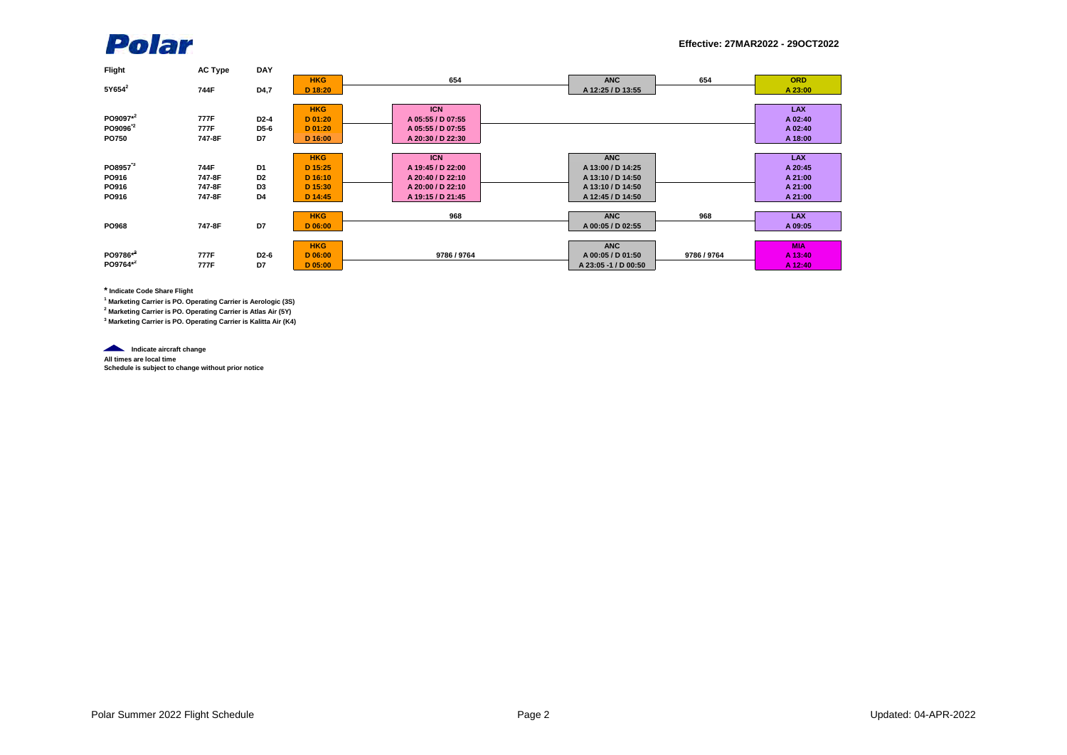

| <b>Flight</b>       | <b>AC Type</b> | <b>DAY</b>        |            |                   |                      |             |            |
|---------------------|----------------|-------------------|------------|-------------------|----------------------|-------------|------------|
|                     |                |                   | <b>HKG</b> | 654               | <b>ANC</b>           | 654         | <b>ORD</b> |
| $5Y654^2$           | 744F           | D4,7              | D 18:20    |                   | A 12:25 / D 13:55    |             | A 23:00    |
|                     |                |                   |            |                   |                      |             |            |
|                     |                |                   | <b>HKG</b> | <b>ICN</b>        |                      |             | <b>LAX</b> |
| PO9097*2            | 777F           | $D2-4$            | D 01:20    | A 05:55 / D 07:55 |                      |             | A 02:40    |
| PO9096 <sup>2</sup> | 777F           | D5-6              | D 01:20    | A 05:55 / D 07:55 |                      |             | A 02:40    |
| <b>PO750</b>        | 747-8F         | D7                | D 16:00    | A 20:30 / D 22:30 |                      |             | A 18:00    |
|                     |                |                   |            |                   |                      |             |            |
|                     |                |                   | <b>HKG</b> | <b>ICN</b>        | <b>ANC</b>           |             | <b>LAX</b> |
| PO8957 <sup>3</sup> | 744F           | D <sub>1</sub>    | D 15:25    | A 19:45 / D 22:00 | A 13:00 / D 14:25    |             | A 20:45    |
| PO916               | 747-8F         | D <sub>2</sub>    | $D$ 16:10  | A 20:40 / D 22:10 | A 13:10 / D 14:50    |             | A 21:00    |
| PO916               | 747-8F         | D3                | D 15:30    | A 20:00 / D 22:10 | A 13:10 / D 14:50    |             | A 21:00    |
| PO916               | 747-8F         | D4                | D 14:45    | A 19:15 / D 21:45 | A 12:45 / D 14:50    |             | A 21:00    |
|                     |                |                   |            |                   |                      |             |            |
|                     |                |                   | <b>HKG</b> | 968               | <b>ANC</b>           | 968         | <b>LAX</b> |
| <b>PO968</b>        | 747-8F         | D7                | D 06:00    |                   | A 00:05 / D 02:55    |             | A 09:05    |
|                     |                |                   |            |                   |                      |             |            |
|                     |                |                   | <b>HKG</b> |                   | <b>ANC</b>           |             | <b>MIA</b> |
| PO9786*2            | 777F           | D <sub>2</sub> -6 | D 06:00    | 9786 / 9764       | A 00:05 / D 01:50    | 9786 / 9764 | A 13:40    |
| PO9764*2            | 777F           | D7                | $D$ 05:00  |                   | A 23:05 -1 / D 00:50 |             | A 12:40    |
|                     |                |                   |            |                   |                      |             |            |

**\* Indicate Code Share Flight**

**1 Marketing Carrier is PO. Operating Carrier is Aerologic (3S)**

**2 Marketing Carrier is PO. Operating Carrier is Atlas Air (5Y)**

**3 Marketing Carrier is PO. Operating Carrier is Kalitta Air (K4)**

**Indicate aircraft change** 

**All times are local time Schedule is subject to change without prior notice**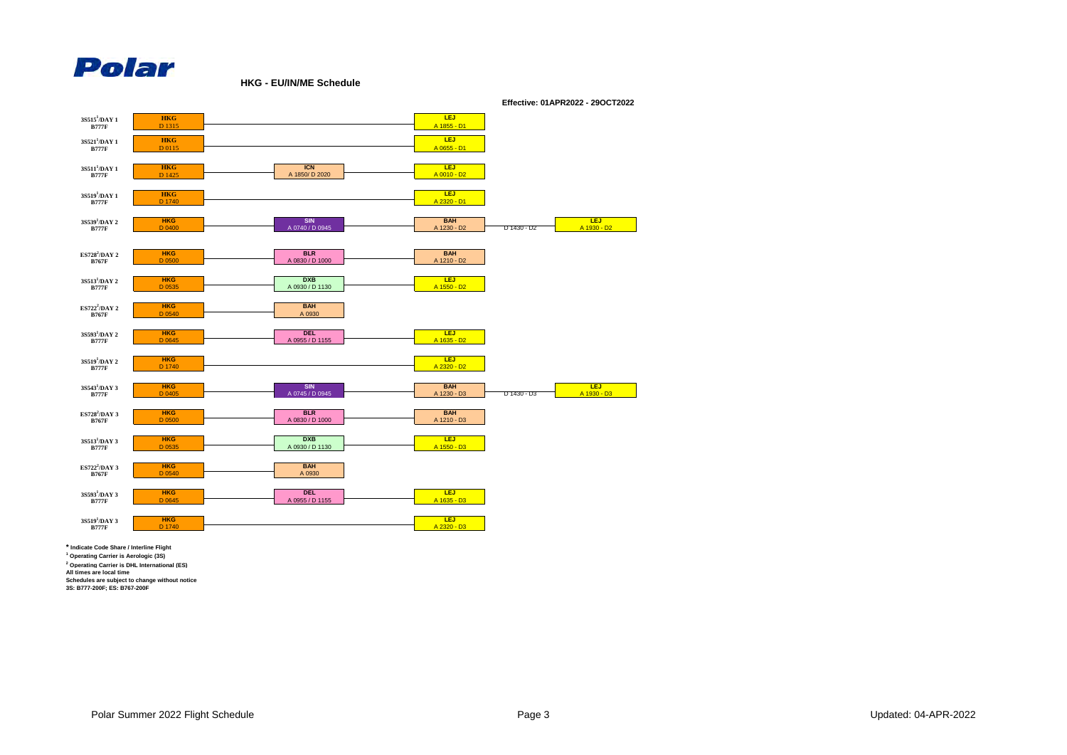

**HKG - EU/IN/ME Schedule**



**\* Indicate Code Share / Interline Flight**

**1 Operating Carrier is Aerologic (3S) 2 Operating Carrier is DHL International (ES) All times are local time**

**Schedules are subject to change without notice**

**3S: B777-200F; ES: B767-200F**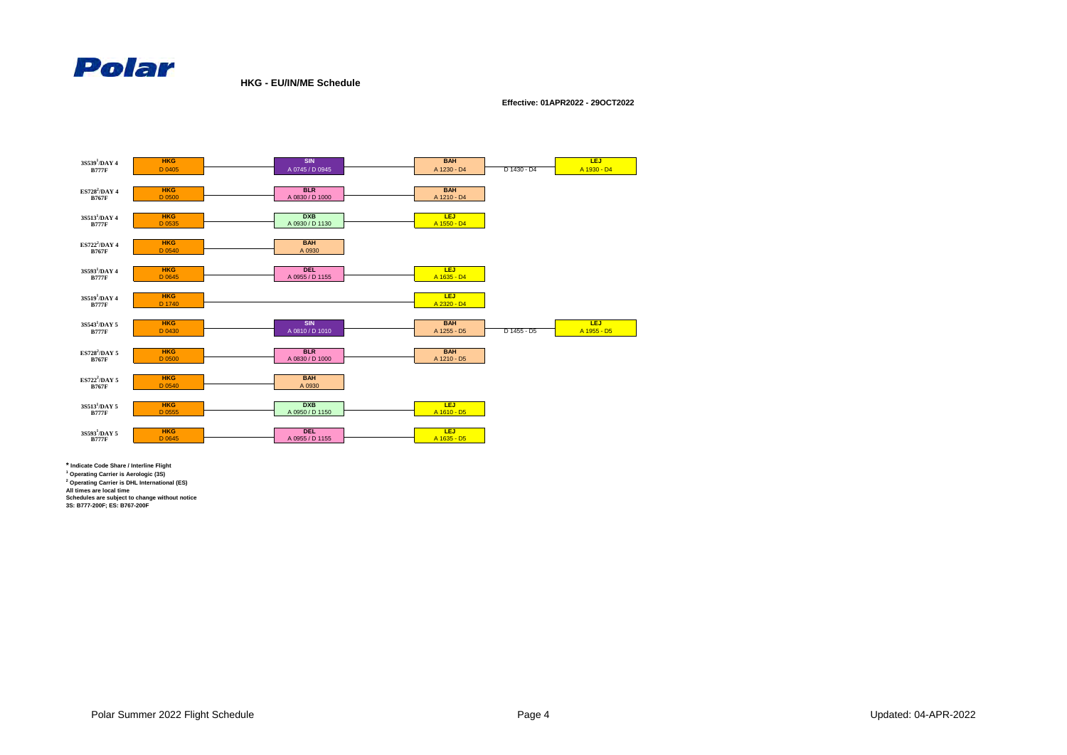

**HKG - EU/IN/ME Schedule**

**Effective: 01APR2022 - 29OCT2022**



**\* Indicate Code Share / Interline Flight**

**1 Operating Carrier is Aerologic (3S)**

**2 Operating Carrier is DHL International (ES)**

**All times are local time Schedules are subject to change without notice 3S: B777-200F; ES: B767-200F**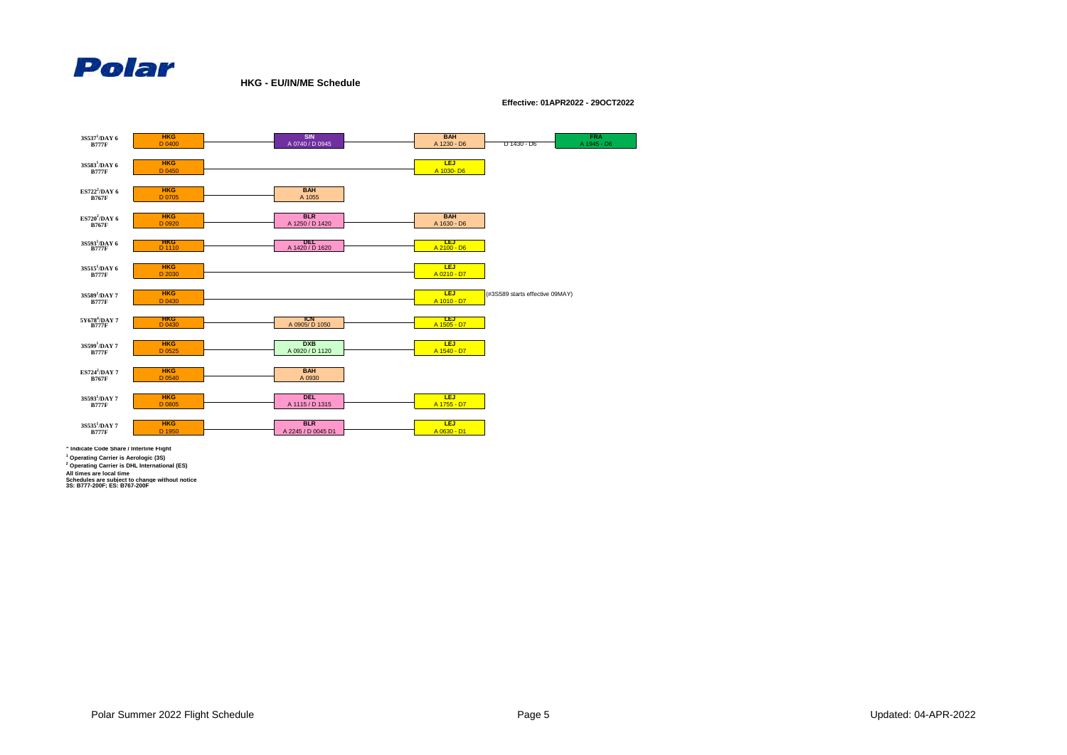

**HKG - EU/IN/ME Schedule**

**Effective: 01APR2022 - 29OCT2022**



**\* Indicate Code Share / Interline Flight**

**1 Operating Carrier is Aerologic (3S)**

**2 Operating Carrier is DHL International (ES)**

**All times are local time Schedules are subject to change without notice 3S: B777-200F; ES: B767-200F**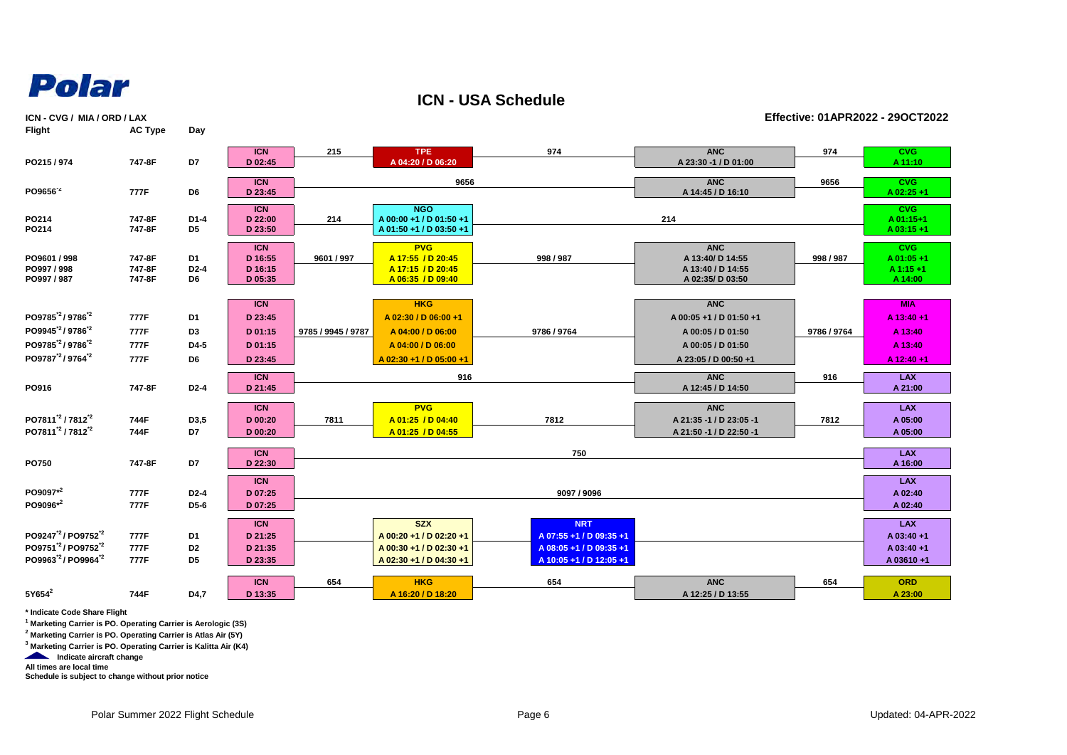

**Flight AC Type Day**

**ICN - USA Schedule**

**ICN - CVG / MIA / ORD / LAX Effective: 01APR2022 - 29OCT2022**<br> **Effective: 01APR2022 - 29OCT2022** 

|                                                                                                                                                                             | $\cdots$                     | ---                                            |                                                        |                    |                                                                                                         |                                                                                             |                                                                                                         |             |                                                              |
|-----------------------------------------------------------------------------------------------------------------------------------------------------------------------------|------------------------------|------------------------------------------------|--------------------------------------------------------|--------------------|---------------------------------------------------------------------------------------------------------|---------------------------------------------------------------------------------------------|---------------------------------------------------------------------------------------------------------|-------------|--------------------------------------------------------------|
| PO215/974                                                                                                                                                                   | 747-8F                       | D7                                             | <b>ICN</b><br>D 02:45                                  | 215                | <b>TPE</b><br>A 04:20 / D 06:20                                                                         | 974                                                                                         | <b>ANC</b><br>A 23:30 -1 / D 01:00                                                                      | 974         | <b>CVG</b><br>A 11:10                                        |
| PO9656 <sup>-2</sup>                                                                                                                                                        | 777F                         | D6                                             | <b>ICN</b><br>D 23:45                                  |                    | 9656                                                                                                    |                                                                                             | <b>ANC</b><br>A 14:45 / D 16:10                                                                         | 9656        | CVG<br>$A$ 02:25 +1                                          |
| PO214<br>PO214                                                                                                                                                              | 747-8F<br>747-8F             | $D1-4$<br>D <sub>5</sub>                       | ICN<br>D 22:00<br>D 23:50                              | 214                | <b>NGO</b><br>A 00:00 +1 / D 01:50 +1<br>A 01:50 +1 / D 03:50 +1                                        |                                                                                             | 214                                                                                                     |             | CVG<br>A 01:15+1<br>$A$ 03:15+1                              |
| PO9601 / 998<br>PO997 / 998<br>PO997 / 987                                                                                                                                  | 747-8F<br>747-8F<br>747-8F   | D <sub>1</sub><br>$D2-4$<br>D <sub>6</sub>     | <b>ICN</b><br>D 16:55<br>D 16:15<br>D 05:35            | 9601 / 997         | <b>PVG</b><br>A 17:55 / D 20:45<br>A 17:15 / D 20:45<br>A 06:35 / D 09:40                               | 998 / 987                                                                                   | <b>ANC</b><br>A 13:40/D 14:55<br>A 13:40 / D 14:55<br>A 02:35/D 03:50                                   | 998 / 987   | <b>CVG</b><br>$A$ 01:05 +1<br>$A1:15+1$<br>A 14:00           |
| PO9785 <sup>'2</sup> /9786 <sup>'2</sup><br>PO9945 <sup>'2</sup> /9786 <sup>'2</sup><br>PO9785 <sup>2</sup> /9786 <sup>2</sup><br>PO9787 <sup>12</sup> / 9764 <sup>12</sup> | 777F<br>777F<br>777F<br>777F | D <sub>1</sub><br>D <sub>3</sub><br>D4-5<br>D6 | <b>ICN</b><br>D 23:45<br>D 01:15<br>D 01:15<br>D 23:45 | 9785 / 9945 / 9787 | <b>HKG</b><br>A 02:30 / D 06:00 +1<br>A 04:00 / D 06:00<br>A 04:00 / D 06:00<br>A 02:30 +1 / D 05:00 +1 | 9786 / 9764                                                                                 | <b>ANC</b><br>A 00:05 +1 / D 01:50 +1<br>A 00:05 / D 01:50<br>A 00:05 / D 01:50<br>A 23:05 / D 00:50 +1 | 9786 / 9764 | <b>MIA</b><br>A 13:40 +1<br>A 13:40<br>A 13:40<br>A 12:40 +1 |
| PO916                                                                                                                                                                       | 747-8F                       | $D2-4$                                         | <b>ICN</b><br>D 21:45                                  |                    | 916                                                                                                     |                                                                                             | <b>ANC</b><br>A 12:45 / D 14:50                                                                         | 916         | <b>LAX</b><br>A 21:00                                        |
| PO7811 <sup>'2</sup> / 7812 <sup>'2</sup><br>PO7811 <sup>2</sup> /7812 <sup>2</sup>                                                                                         | 744F<br>744F                 | D3,5<br>D7                                     | <b>ICN</b><br>D 00:20<br>D 00:20                       | 7811               | <b>PVG</b><br>A 01:25 / D 04:40<br>A 01:25 / D 04:55                                                    | 7812                                                                                        | <b>ANC</b><br>A 21:35 -1 / D 23:05 -1<br>A 21:50 -1 / D 22:50 -1                                        | 7812        | <b>LAX</b><br>A 05:00<br>A 05:00                             |
| PO750                                                                                                                                                                       | 747-8F                       | D7                                             | <b>ICN</b><br>D 22:30                                  |                    |                                                                                                         | 750                                                                                         |                                                                                                         |             | <b>LAX</b><br>A 16:00                                        |
|                                                                                                                                                                             |                              |                                                | <b>ICN</b>                                             |                    |                                                                                                         |                                                                                             |                                                                                                         |             | <b>LAX</b>                                                   |
| PO9097*2<br>PO9096*2                                                                                                                                                        | 777F<br>777F                 | $D2-4$<br>D5-6                                 | D 07:25<br>D 07:25                                     |                    |                                                                                                         | 9097 / 9096                                                                                 |                                                                                                         |             | A 02:40<br>A 02:40                                           |
| PO9247 <sup>2</sup> /PO9752 <sup>2</sup><br>PO9751 <sup>2</sup> /PO9752 <sup>2</sup><br>PO9963 <sup>2</sup> /PO9964 <sup>2</sup>                                            | 777F<br>777F<br>777F         | D1<br>D <sub>2</sub><br>D <sub>5</sub>         | <b>ICN</b><br>D 21:25<br>D 21:35<br>D 23:35            |                    | <b>SZX</b><br>A 00:20 +1 / D 02:20 +1<br>A 00:30 +1 / D 02:30 +1<br>A 02:30 +1 / D 04:30 +1             | <b>NRT</b><br>A 07:55 +1 / D 09:35 +1<br>A 08:05 +1 / D 09:35 +1<br>A 10:05 +1 / D 12:05 +1 |                                                                                                         |             | <b>LAX</b><br>A 03:40 +1<br>A 03:40 +1<br>A 03610+1          |

**\* Indicate Code Share Flight**

**1 Marketing Carrier is PO. Operating Carrier is Aerologic (3S)**

**2 Marketing Carrier is PO. Operating Carrier is Atlas Air (5Y)**

**3 Marketing Carrier is PO. Operating Carrier is Kalitta Air (K4)**

**Indicate aircraft change** 

**All times are local time**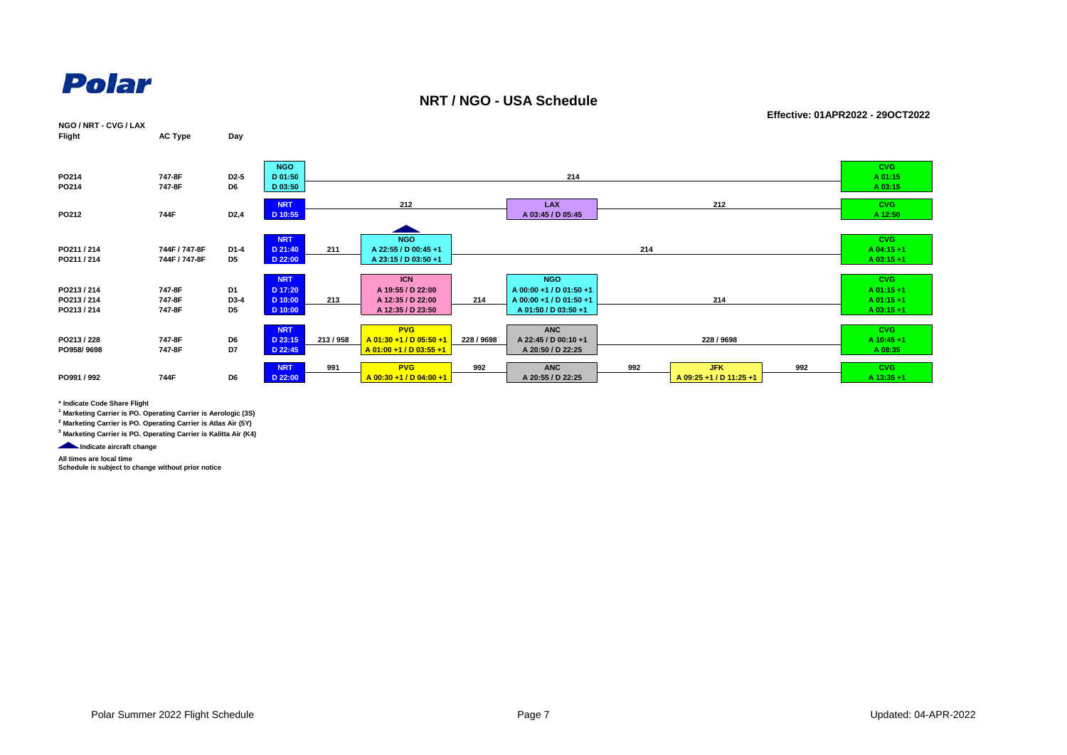

#### **NRT / NGO - USA Schedule**

**Effective: 01APR2022 - 29OCT2022**



**\* Indicate Code Share Flight**

**1 Marketing Carrier is PO. Operating Carrier is Aerologic (3S)**

**2 Marketing Carrier is PO. Operating Carrier is Atlas Air (5Y)**

**3 Marketing Carrier is PO. Operating Carrier is Kalitta Air (K4)**

**Indicate aircraft change** 

**All times are local time**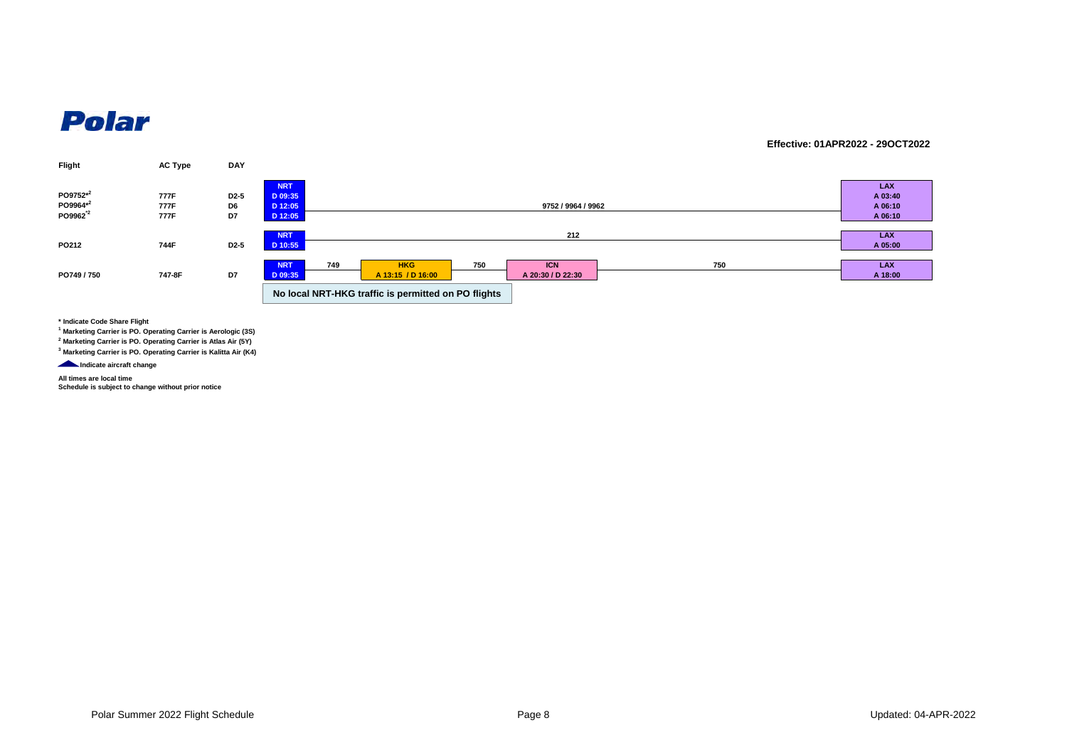#### **Effective: 01APR2022 - 29OCT2022**



**\* Indicate Code Share Flight**

**1 Marketing Carrier is PO. Operating Carrier is Aerologic (3S)**

**2 Marketing Carrier is PO. Operating Carrier is Atlas Air (5Y)**

**3 Marketing Carrier is PO. Operating Carrier is Kalitta Air (K4)**

**Indicate aircraft change** 

**All times are local time Schedule is subject to change without prior notice**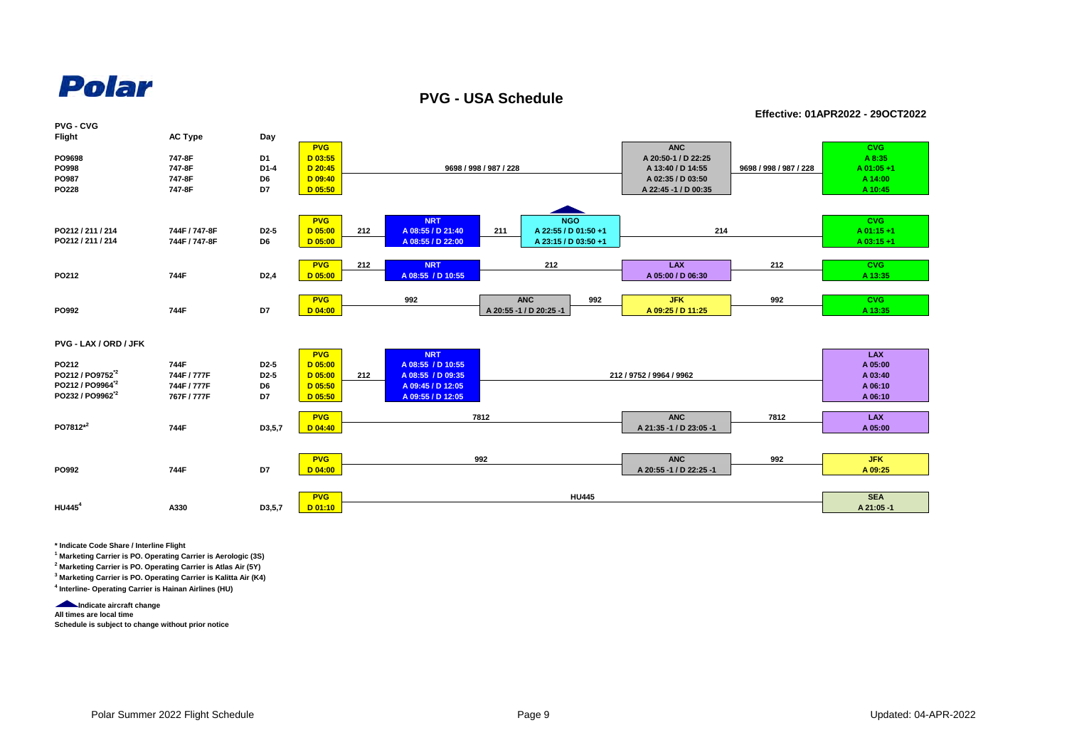**PVG - USA Schedule**

**Effective: 01APR2022 - 29OCT2022**



**\* Indicate Code Share / Interline Flight**

**1 Marketing Carrier is PO. Operating Carrier is Aerologic (3S)**

**2 Marketing Carrier is PO. Operating Carrier is Atlas Air (5Y)**

**3 Marketing Carrier is PO. Operating Carrier is Kalitta Air (K4) 4 Interline- Operating Carrier is Hainan Airlines (HU)** 

**Indicate aircraft change** 

**All times are local time Schedule is subject to change without prior notice**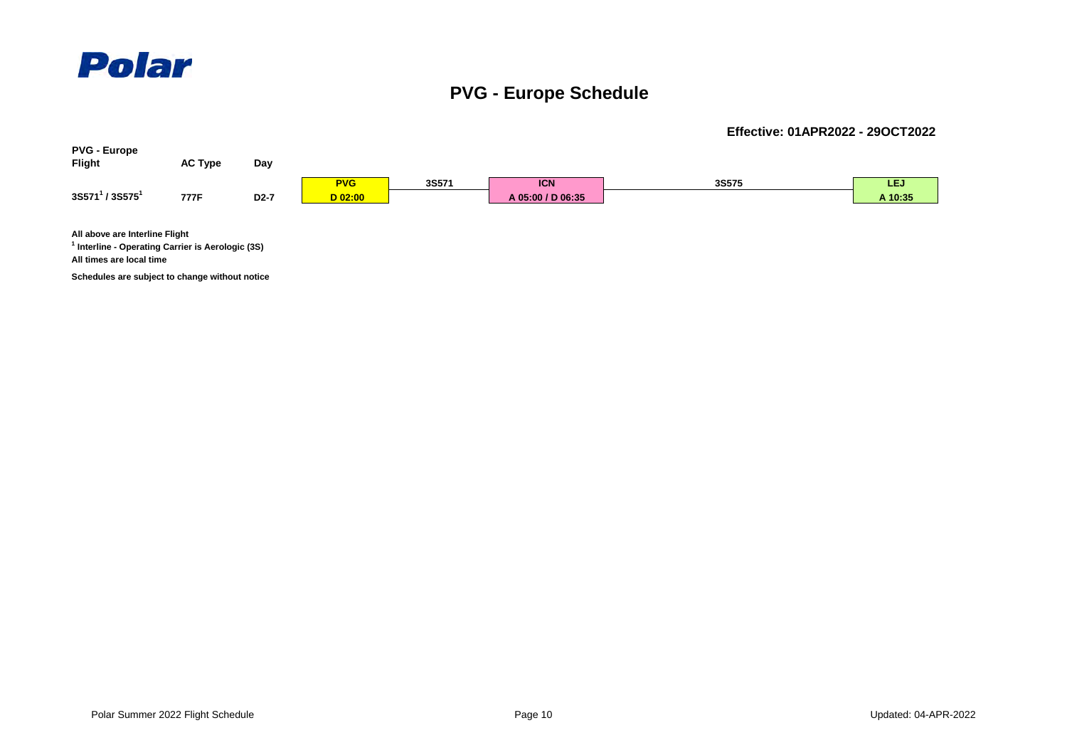

### **PVG - Europe Schedule**



**Schedules are subject to change without notice**

**Effective: 01APR2022 - 29OCT2022**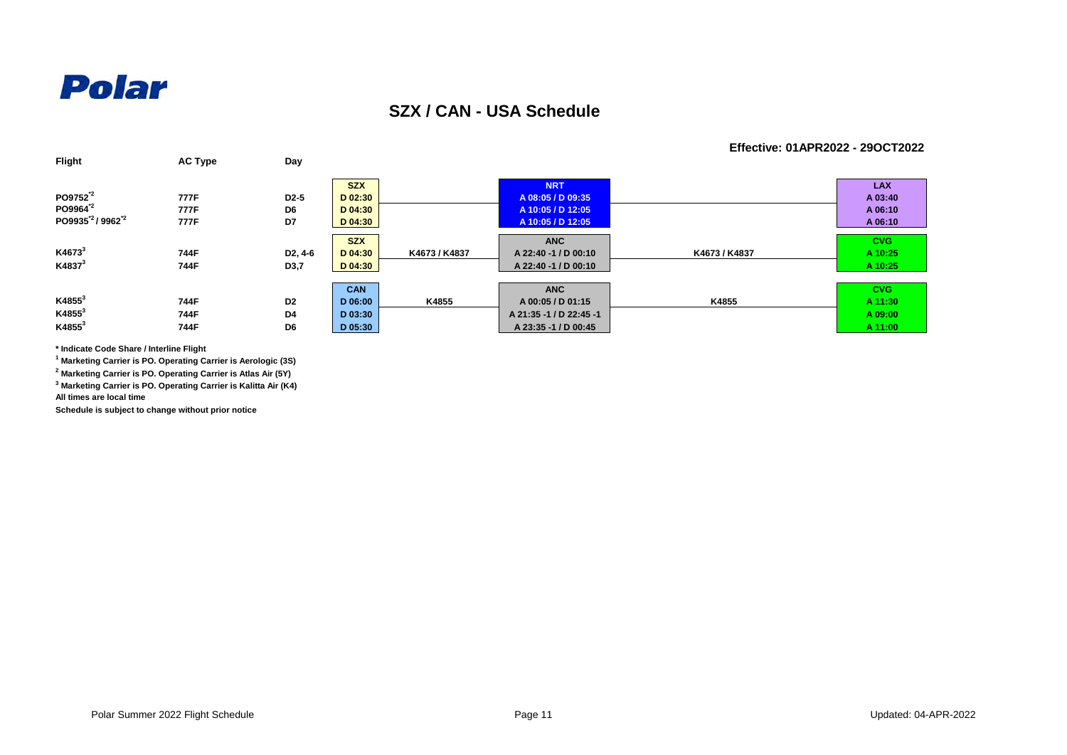

### **SZX / CAN - USA Schedule**

#### **Effective: 01APR2022 - 29OCT2022**

| Flight                                   | <b>AC Type</b> | Day                  |            |               |                         |               |            |
|------------------------------------------|----------------|----------------------|------------|---------------|-------------------------|---------------|------------|
|                                          |                |                      | <b>SZX</b> |               | <b>NRT</b>              |               | <b>LAX</b> |
| PO9752 <sup>2</sup>                      | 777F           | D <sub>2</sub> -5    | D 02:30    |               | A 08:05 / D 09:35       |               | A 03:40    |
| PO9964 <sup>2</sup>                      | 777F           | D6                   | D 04:30    |               | A 10:05 / D 12:05       |               | A 06:10    |
| PO9935 <sup>*2</sup> /9962 <sup>*2</sup> | 777F           | D7                   | D 04:30    |               | A 10:05 / D 12:05       |               | A 06:10    |
|                                          |                |                      | <b>SZX</b> |               | <b>ANC</b>              |               | <b>CVG</b> |
| K4673 <sup>3</sup>                       | 744F           | D <sub>2</sub> , 4-6 | D 04:30    | K4673 / K4837 | A 22:40 -1 / D 00:10    | K4673 / K4837 | A 10:25    |
| K4837 <sup>3</sup>                       | 744F           | D3,7                 | $D$ 04:30  |               | A 22:40 -1 / D 00:10    |               | A 10:25    |
|                                          |                |                      |            |               |                         |               |            |
|                                          |                |                      | <b>CAN</b> |               | <b>ANC</b>              |               | <b>CVG</b> |
| $K4855^3$                                | 744F           | D <sub>2</sub>       | D 06:00    | K4855         | A 00:05 / D 01:15       | K4855         | A 11:30    |
| $K4855^3$                                | 744F           | D4                   | D 03:30    |               | A 21:35 -1 / D 22:45 -1 |               | A 09:00    |
| $K4855^3$                                | 744F           | D6                   | D 05:30    |               | A 23:35 -1 / D 00:45    |               | A 11:00    |

**\* Indicate Code Share / Interline Flight**

**1 Marketing Carrier is PO. Operating Carrier is Aerologic (3S)**

**2 Marketing Carrier is PO. Operating Carrier is Atlas Air (5Y)**

**3 Marketing Carrier is PO. Operating Carrier is Kalitta Air (K4)**

**All times are local time**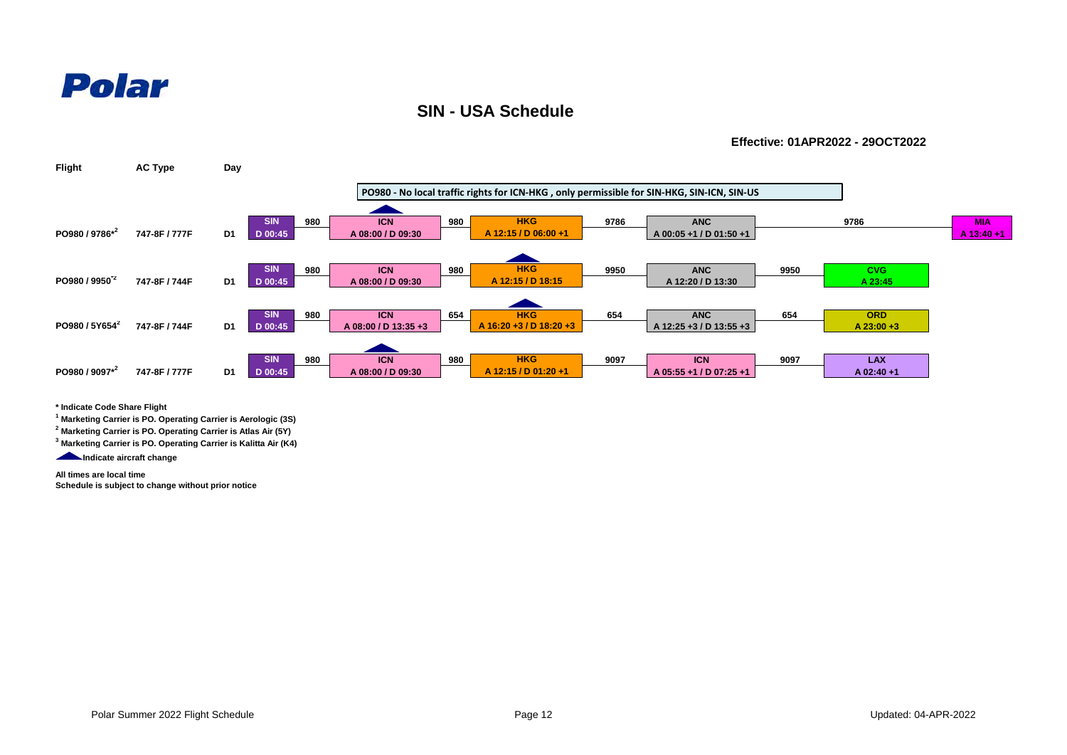### **SIN - USA Schedule**

**Effective: 01APR2022 - 29OCT2022**



**\* Indicate Code Share Flight**

**1 Marketing Carrier is PO. Operating Carrier is Aerologic (3S)**

**2 Marketing Carrier is PO. Operating Carrier is Atlas Air (5Y)**

**3 Marketing Carrier is PO. Operating Carrier is Kalitta Air (K4)**

**Indicate aircraft change** 

**All times are local time**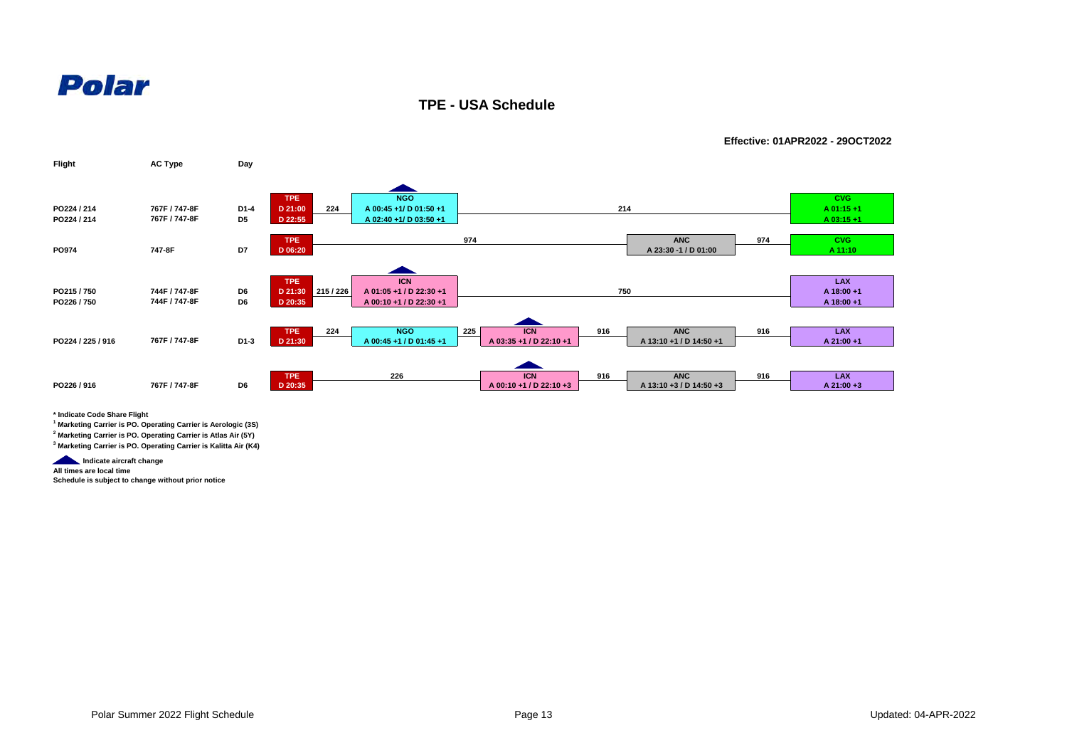

**TPE - USA Schedule**

**Effective: 01APR2022 - 29OCT2022**



**\* Indicate Code Share Flight**

**1 Marketing Carrier is PO. Operating Carrier is Aerologic (3S)**

**2 Marketing Carrier is PO. Operating Carrier is Atlas Air (5Y)**

**3 Marketing Carrier is PO. Operating Carrier is Kalitta Air (K4)**

**Indicate aircraft change** 

**All times are local time**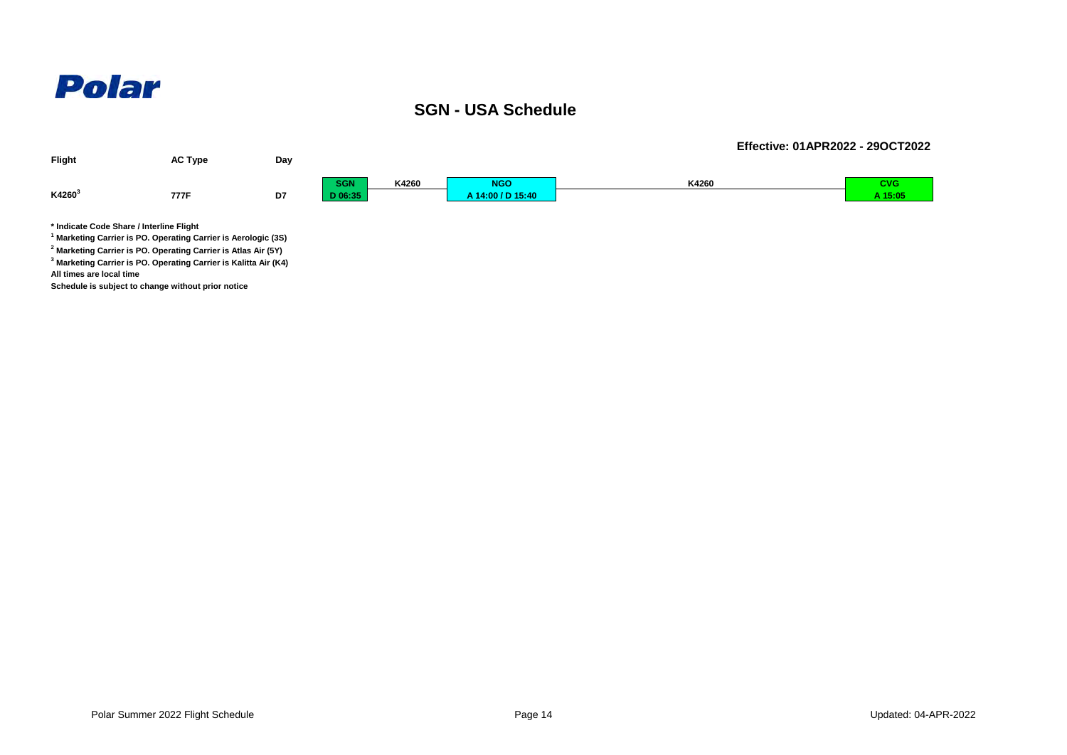### **SGN - USA Schedule**



**3 Marketing Carrier is PO. Operating Carrier is Kalitta Air (K4) All times are local time**

**Schedule is subject to change without prior notice**

**Effective: 01APR2022 - 29OCT2022**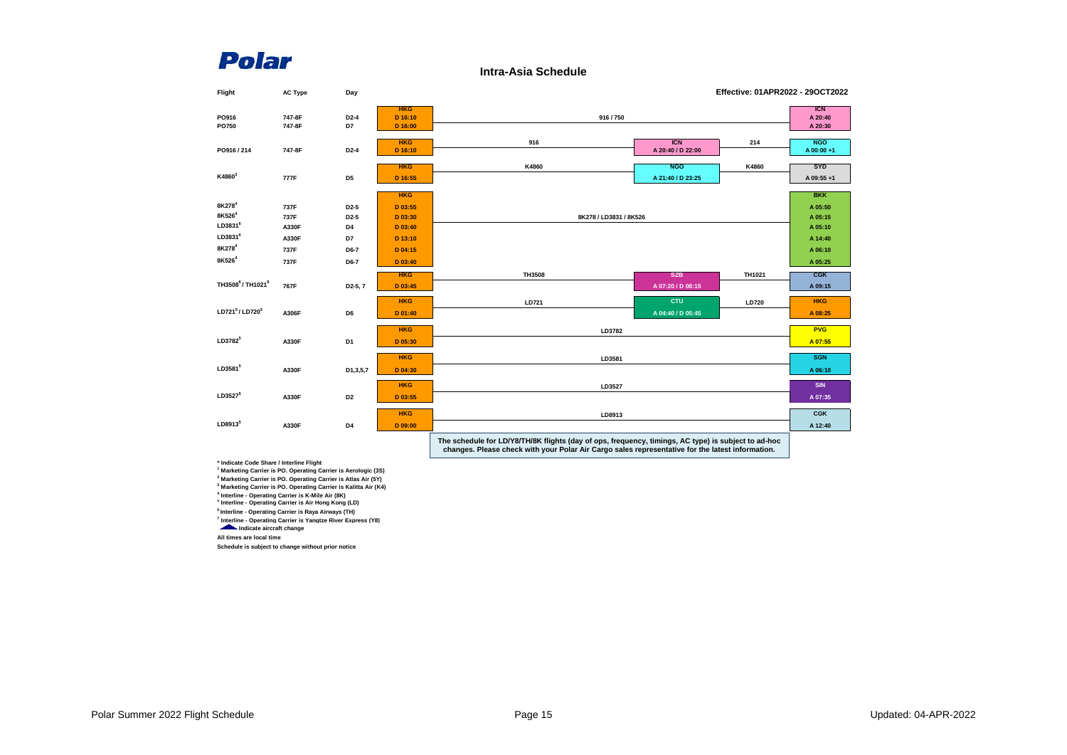**Intra-Asia Schedule**

| Flight                                   | <b>AC Type</b>   | Day                  |                                  |                                                                                                     |                                 | Effective: 01APR2022 - 29OCT2022 |                                  |
|------------------------------------------|------------------|----------------------|----------------------------------|-----------------------------------------------------------------------------------------------------|---------------------------------|----------------------------------|----------------------------------|
| PO916<br>PO750                           | 747-8F<br>747-8F | $D2-4$<br>D7         | <b>HKG</b><br>D 16:10<br>D 16:00 | 916/750                                                                                             |                                 |                                  | <b>ICN</b><br>A 20:40<br>A 20:30 |
| PO916 / 214                              | 747-8F           | $D2-4$               | <b>HKG</b><br>D 16:10            | 916                                                                                                 | <b>ICN</b><br>A 20:40 / D 22:00 | 214                              | <b>NGO</b><br>A 00:00+1          |
| K4860 <sup>3</sup>                       | 777F             | D <sub>5</sub>       | <b>HKG</b><br>D 16:55            | K4860                                                                                               | <b>NGO</b><br>A 21:40 / D 23:25 | K4860                            | <b>SYD</b><br>A 09:55+1          |
| 8K278 <sup>4</sup>                       | 737F             | D <sub>2</sub> -5    | <b>HKG</b><br>D 03:55            |                                                                                                     |                                 |                                  | <b>BKK</b><br>A 05:50            |
| 8K526 <sup>4</sup>                       | 737F             | D <sub>2</sub> -5    | D 03:30                          | 8K278 / LD3831 / 8K526                                                                              |                                 |                                  | A 05:15                          |
| LD3831 <sup>6</sup>                      | A330F            | D4                   | D 03:40                          |                                                                                                     |                                 |                                  | A 05:10                          |
| LD3831 <sup>6</sup>                      | A330F            | D7                   | D 13:10                          |                                                                                                     |                                 |                                  | A 14:40                          |
| 8K278 <sup>4</sup>                       | 737F             | D6-7                 | D 04:15                          |                                                                                                     |                                 |                                  | A 06:10                          |
| 8K526 <sup>4</sup>                       | 737F             | D6-7                 | D 03:40                          |                                                                                                     |                                 |                                  | A 05:25                          |
|                                          |                  |                      |                                  |                                                                                                     |                                 |                                  |                                  |
| TH3508 <sup>6</sup> /TH1021 <sup>6</sup> |                  |                      | <b>HKG</b>                       | TH3508                                                                                              | <b>SZB</b>                      | TH1021                           | $C$ $GK$                         |
|                                          | 767F             | D <sub>2</sub> -5, 7 | D 03:45                          |                                                                                                     | A 07:20 / D 08:15               |                                  | A 09:15                          |
|                                          |                  |                      | <b>HKG</b>                       | LD721                                                                                               | <b>CTU</b>                      | <b>LD720</b>                     | <b>HKG</b>                       |
| LD721 <sup>5</sup> /LD720 <sup>5</sup>   | A306F            | D <sub>6</sub>       | D 01:40                          |                                                                                                     | A 04:40 / D 05:45               |                                  | A 08:25                          |
|                                          |                  |                      |                                  |                                                                                                     |                                 |                                  |                                  |
| LD3782 <sup>5</sup>                      |                  |                      | <b>HKG</b>                       | LD3782                                                                                              |                                 |                                  | <b>PVG</b>                       |
|                                          | A330F            | D <sub>1</sub>       | D 05:30                          |                                                                                                     |                                 |                                  | A 07:55                          |
|                                          |                  |                      | <b>HKG</b>                       | LD3581                                                                                              |                                 |                                  | <b>SGN</b>                       |
| LD3581 <sup>5</sup>                      | A330F            | D1,3,5,7             | D 04:30                          |                                                                                                     |                                 |                                  | A 06:10                          |
|                                          |                  |                      | <b>HKG</b>                       |                                                                                                     |                                 |                                  | <b>SIN</b>                       |
| LD35275                                  |                  |                      |                                  | LD3527                                                                                              |                                 |                                  |                                  |
|                                          | A330F            | D <sub>2</sub>       | D 03:55                          |                                                                                                     |                                 |                                  | A 07:35                          |
|                                          |                  |                      | <b>HKG</b>                       | LD8913                                                                                              |                                 |                                  | <b>CGK</b>                       |
| LD89135                                  | A330F            | D4                   | D 09:00                          |                                                                                                     |                                 |                                  | A 12:40                          |
|                                          |                  |                      |                                  | The schedule for LD/Y8/TH/8K flights (day of ops, frequency, timings, AC type) is subject to ad-hoc |                                 |                                  |                                  |

**The schedule for LD/Y8/TH/8K flights (day of ops, frequency, timings, AC type) is subject to ad-hoc changes. Please check with your Polar Air Cargo sales representative for the latest information.**

" Indicate Code Share /Interline Filght<br>" Marketing Carrier is PO. Operating Carrier is Aerologic (3S)<br><sup>2</sup> Marketing Carrier is PO. Operating Carrier is Atlas Air (5Y)<br><sup>3</sup> Marketing Carrier is PO. Operating Carrier is Kali

**6 Interline - Operating Carrier is Raya Airways (TH)**

**7 Interline - Operating Carrier is Yangtze River Express (Y8) Indicate aircraft change**

**All times are local time**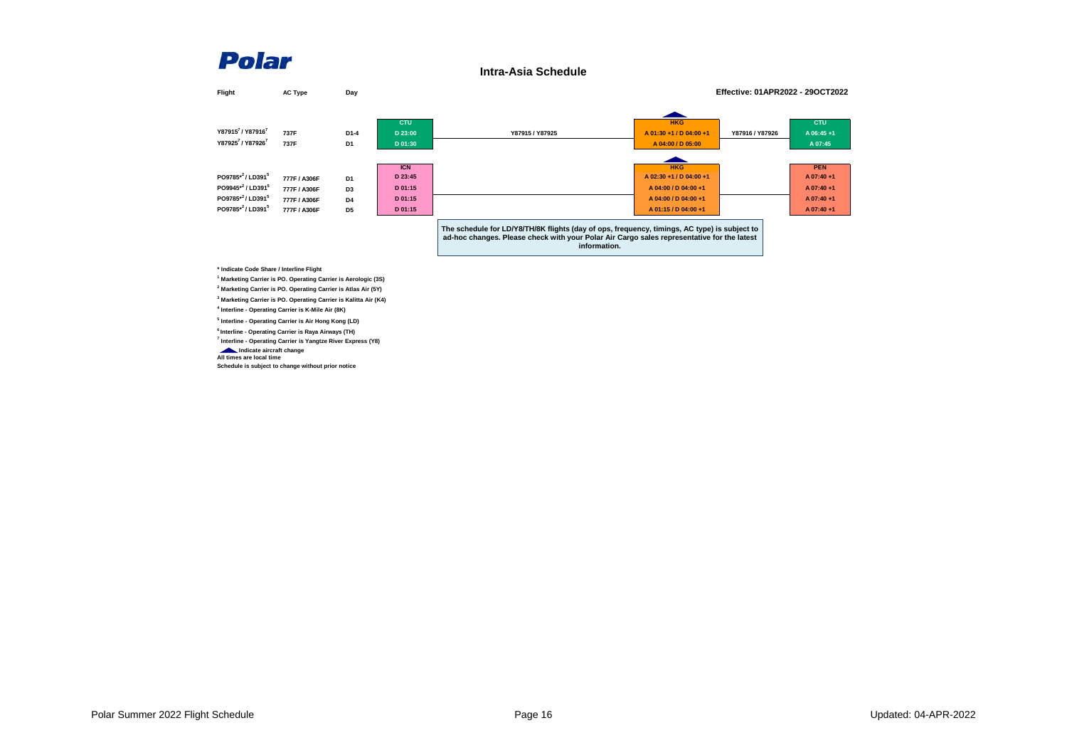**Intra-Asia Schedule**

| Flight                                                                                            | <b>AC Type</b>                                               | Day                                                                  |                                                        |                                                                                                                                                                                                            |                                                                                                               | Effective: 01APR2022 - 29OCT2022 |                                                                   |
|---------------------------------------------------------------------------------------------------|--------------------------------------------------------------|----------------------------------------------------------------------|--------------------------------------------------------|------------------------------------------------------------------------------------------------------------------------------------------------------------------------------------------------------------|---------------------------------------------------------------------------------------------------------------|----------------------------------|-------------------------------------------------------------------|
| Y879157 / Y879167<br>Y879257 / Y879267                                                            | 737F<br>737F                                                 | D1-4<br>D <sub>1</sub>                                               | <b>CTU</b><br>D 23:00<br>D 01:30                       | Y87915 / Y87925                                                                                                                                                                                            | <b>HKG</b><br>A 01:30 +1 / D 04:00 +1<br>A 04:00 / D 05:00                                                    | Y87916 / Y87926                  | <b>CTU</b><br>A 06:45+1<br>A 07:45                                |
| PO9785*2/LD3915<br>PO9945 <sup>*2</sup> /LD391 <sup>5</sup><br>PO9785*2/LD3915<br>PO9785*2/LD3915 | 777F / A306F<br>777F / A306F<br>777F / A306F<br>777F / A306F | D <sub>1</sub><br>D <sub>3</sub><br>D <sub>4</sub><br>D <sub>5</sub> | <b>ICN</b><br>D 23:45<br>D 01:15<br>D 01:15<br>D 01:15 |                                                                                                                                                                                                            | <b>HKG</b><br>A 02:30 +1 / D 04:00 +1<br>A 04:00 / D 04:00 +1<br>A 04:00 / D 04:00 +1<br>A 01:15 / D 04:00 +1 |                                  | <b>PEN</b><br>A 07:40+1<br>A 07:40+1<br>A 07:40+1<br>$A$ 07:40 +1 |
| * Indianto Codo Sharo / Interline Eliabt                                                          |                                                              |                                                                      |                                                        | The schedule for LD/Y8/TH/8K flights (day of ops, frequency, timings, AC type) is subject to<br>ad-hoc changes. Please check with your Polar Air Cargo sales representative for the latest<br>information. |                                                                                                               |                                  |                                                                   |

**\* Indicate Code Share / Interline Flight 1 Marketing Carrier is PO. Operating Carrier is Aerologic (3S)**

**2 Marketing Carrier is PO. Operating Carrier is Atlas Air (5Y)**

**3 Marketing Carrier is PO. Operating Carrier is Kalitta Air (K4) 4 Interline - Operating Carrier is K-Mile Air (8K)**

**5 Interline - Operating Carrier is Air Hong Kong (LD)**

**6 Interline - Operating Carrier is Raya Airways (TH)**

**7 Interline - Operating Carrier is Yangtze River Express (Y8)**

 **Indicate aircraft change All times are local time**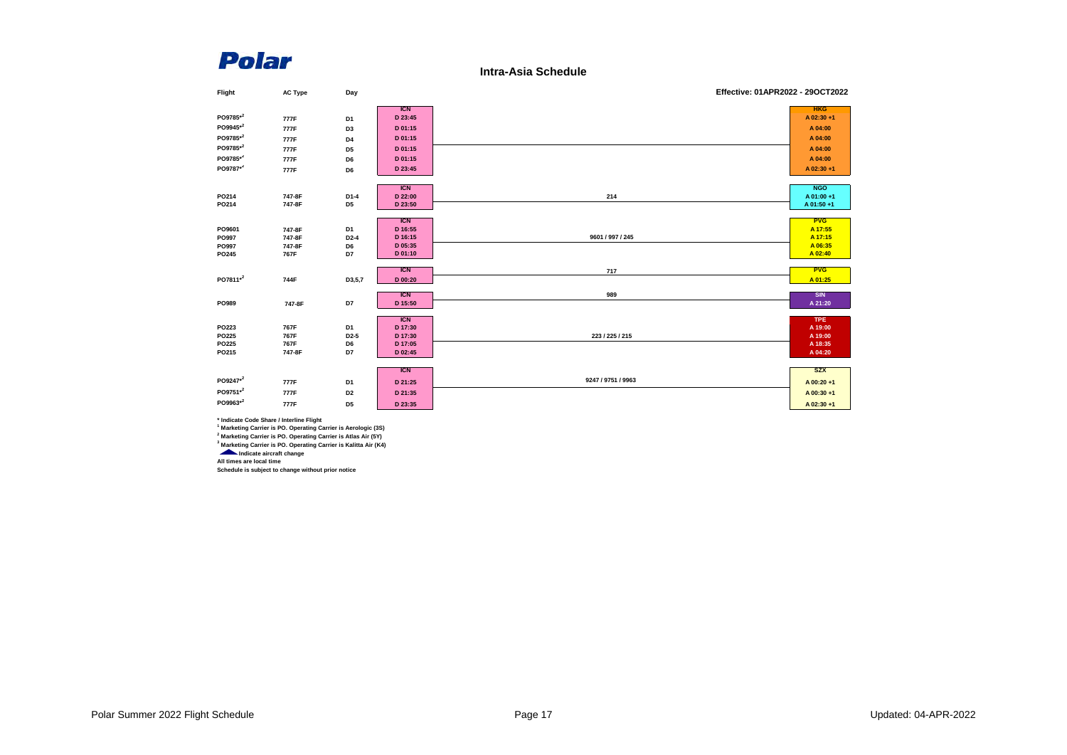**Intra-Asia Schedule**

| Flight               | <b>AC Type</b> | Day               |            | Effective: 01APR2022 - 29OCT2022 |            |
|----------------------|----------------|-------------------|------------|----------------------------------|------------|
|                      |                |                   | <b>ICN</b> |                                  | <b>HKG</b> |
| PO9785*2             | 777F           | D1                | D 23:45    |                                  | A 02:30 +1 |
| PO9945*2             | 777F           | D <sub>3</sub>    | D 01:15    |                                  | A 04:00    |
| PO9785*2             | 777F           | D4                | D 01:15    |                                  | A 04:00    |
| PO9785*2             | 777F           | D <sub>5</sub>    | D 01:15    |                                  | A 04:00    |
| PO9785*2             | 777F           | D6                | D 01:15    |                                  | A 04:00    |
| PO9787*2             | 777F           | D6                | D 23:45    |                                  | A 02:30+1  |
|                      |                |                   |            |                                  |            |
|                      |                |                   | <b>ICN</b> |                                  | <b>NGO</b> |
| PO214                | 747-8F         | D1-4              | D 22:00    | 214                              | A 01:00+1  |
| PO214                | 747-8F         | D <sub>5</sub>    | D 23:50    |                                  | A 01:50 +1 |
|                      |                |                   | <b>ICN</b> |                                  | <b>PVG</b> |
| PO9601               | 747-8F         | D1                | D 16:55    |                                  | A 17:55    |
| PO997                | 747-8F         | $D2-4$            | D 16:15    | 9601 / 997 / 245                 | A 17:15    |
| PO997                | 747-8F         | D6                | D 05:35    |                                  | A 06:35    |
| PO245                | 767F           | D7                | D 01:10    |                                  | A 02:40    |
|                      |                |                   | <b>ICN</b> |                                  | <b>PVG</b> |
| PO7811 <sup>*2</sup> | 744F           | D3,5,7            | D 00:20    | 717                              | A 01:25    |
|                      |                |                   |            |                                  |            |
|                      |                |                   | <b>ICN</b> | 989                              | <b>SIN</b> |
| PO989                | 747-8F         | D7                | D 15:50    |                                  | A 21:20    |
|                      |                |                   | <b>ICN</b> |                                  | <b>TPE</b> |
| PO223                | 767F           | D <sub>1</sub>    | D 17:30    |                                  | A 19:00    |
| PO225                | 767F           | D <sub>2</sub> -5 | D 17:30    | 223 / 225 / 215                  | A 19:00    |
| PO225                | 767F           | D6                | D 17:05    |                                  | A 18:35    |
| PO215                | 747-8F         | D7                | D 02:45    |                                  | A 04:20    |
|                      |                |                   |            |                                  |            |
|                      |                |                   | <b>ICN</b> |                                  | <b>SZX</b> |
| PO9247 <sup>*2</sup> | 777F           | D <sub>1</sub>    | D 21:25    | 9247 / 9751 / 9963               | A 00:20+1  |
| PO9751*2             | 777F           | D <sub>2</sub>    | D 21:35    |                                  | A 00:30+1  |
| PO9963*2             | 777F           | D <sub>5</sub>    | D 23:35    |                                  | A 02:30+1  |

\* Indicate Code Share / Interline Flight<br>A Marketing Carrier is PO. Operating Carrier is Aerologic (3S)<br><sup>2</sup> Marketing Carrier is PO. Operating Carrier is Atlas Air (5Y)<br><sup>3</sup> Marketing Carrier is PO. Operating Carrier is Kal

**All times are local time Schedule is subject to change without prior notice**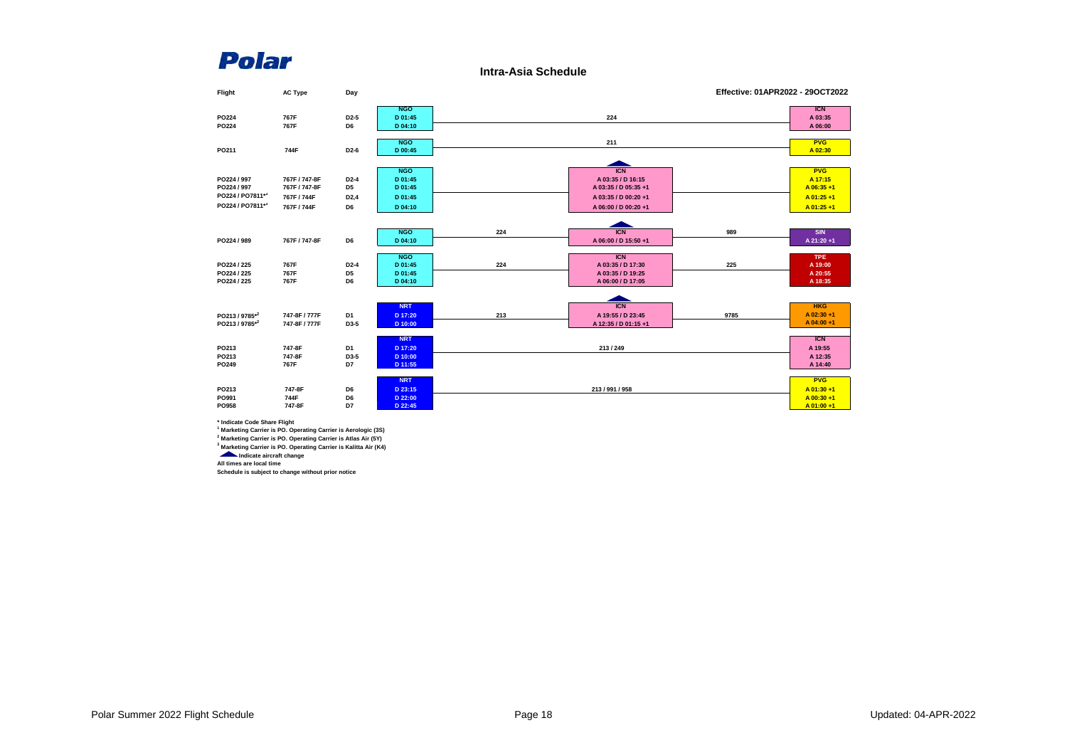**Intra-Asia Schedule**



**\* Indicate Code Share Flight**

**1 Marketing Carrier is PO. Operating Carrier is Aerologic (3S)**

**2 Marketing Carrier is PO. Operating Carrier is Atlas Air (5Y) 3 Marketing Carrier is PO. Operating Carrier is Kalitta Air (K4)**

*<u>Indicate</u>* aircraft change **All times are local time**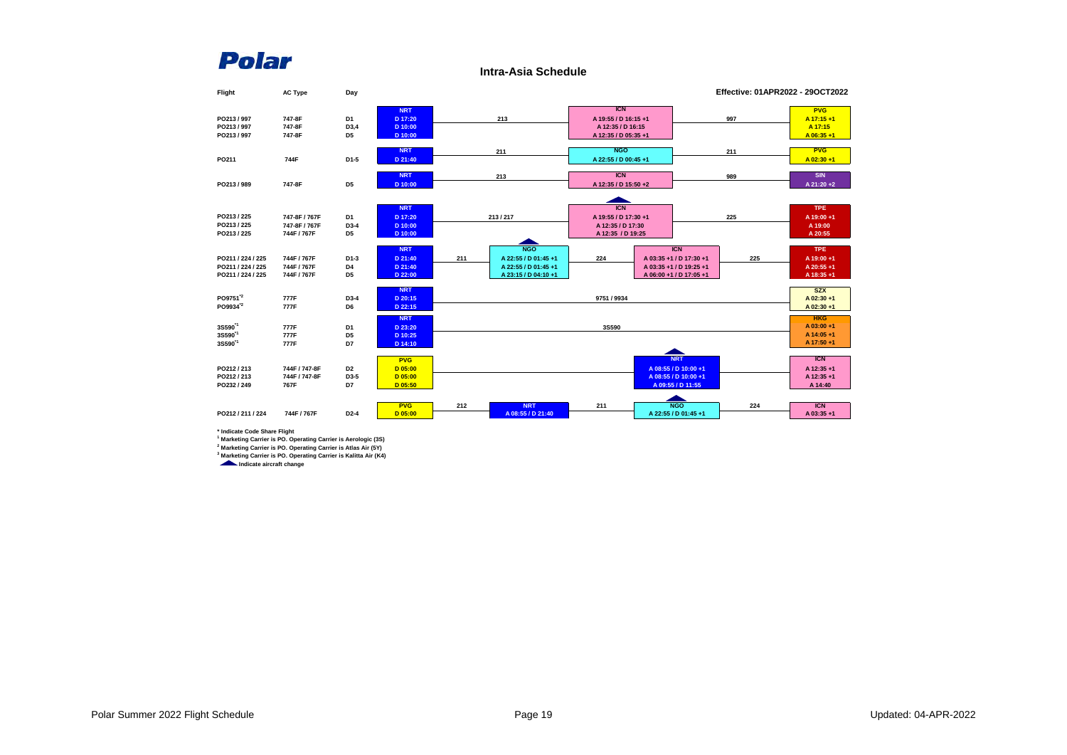**Intra-Asia Schedule**

| Flight               | <b>AC Type</b> | Day                  |                    |     |                      |                      |                         |     | Effective: 01APR2022 - 29OCT2022 |
|----------------------|----------------|----------------------|--------------------|-----|----------------------|----------------------|-------------------------|-----|----------------------------------|
|                      |                |                      | <b>NRT</b>         |     |                      | <b>ICN</b>           |                         |     | <b>PVG</b>                       |
| PO213/997            | 747-8F         | D1                   | D 17:20            |     | 213                  | A 19:55 / D 16:15 +1 |                         | 997 | A 17:15+1                        |
| PO213/997            | 747-8F         | D3,4                 | D 10:00            |     |                      | A 12:35 / D 16:15    |                         |     | A 17:15                          |
| PO213/997            | 747-8F         | D <sub>5</sub>       | D 10:00            |     |                      | A 12:35 / D 05:35 +1 |                         |     | A 06:35+1                        |
|                      |                |                      |                    |     |                      |                      |                         |     |                                  |
|                      |                |                      | <b>NRT</b>         |     | 211                  | <b>NGO</b>           |                         | 211 | <b>PVG</b>                       |
| PO211                | 744F           | D <sub>1-5</sub>     | D 21:40            |     |                      | A 22:55 / D 00:45 +1 |                         |     | A 02:30+1                        |
|                      |                |                      |                    |     |                      |                      |                         |     |                                  |
|                      |                |                      | <b>NRT</b>         |     | 213                  | <b>ICN</b>           |                         | 989 | <b>SIN</b>                       |
| PO213/989            | 747-8F         | D <sub>5</sub>       | D 10:00            |     |                      | A 12:35 / D 15:50 +2 |                         |     | A 21:20+2                        |
|                      |                |                      |                    |     |                      |                      |                         |     |                                  |
|                      |                |                      | <b>NRT</b>         |     |                      | <b>ICN</b>           |                         |     | <b>TPE</b>                       |
| PO213 / 225          | 747-8F / 767F  | D1                   | D 17:20            |     | 213/217              | A 19:55 / D 17:30 +1 |                         | 225 | A 19:00+1                        |
| PO213/225            | 747-8F / 767F  | D3-4                 | D 10:00            |     |                      | A 12:35 / D 17:30    |                         |     | A 19:00                          |
| PO213 / 225          | 744F / 767F    | D <sub>5</sub>       | D 10:00            |     |                      | A 12:35 / D 19:25    |                         |     | A 20:55                          |
|                      |                |                      |                    |     |                      |                      |                         |     |                                  |
|                      |                |                      | <b>NRT</b>         |     | <b>NGO</b>           |                      | <b>ICN</b>              |     | <b>TPE</b>                       |
| PO211 / 224 / 225    | 744F / 767F    | D1-3                 | D 21:40            | 211 | A 22:55 / D 01:45 +1 | 224                  | A 03:35 +1 / D 17:30 +1 | 225 | A 19:00+1                        |
| PO211 / 224 / 225    | 744F / 767F    | D4                   | D 21:40            |     | A 22:55 / D 01:45 +1 |                      | A 03:35 +1 / D 19:25 +1 |     | A 20:55+1                        |
| PO211 / 224 / 225    | 744F / 767F    | D <sub>5</sub>       | D 22:00            |     | A 23:15 / D 04:10 +1 |                      | A 06:00 +1 / D 17:05 +1 |     | A 18:35+1                        |
|                      |                |                      | <b>NRT</b>         |     |                      |                      |                         |     | <b>SZX</b>                       |
| PO9751 <sup>'2</sup> | 777F           | D3-4                 | D 20:15            |     |                      | 9751 / 9934          |                         |     | A 02:30+1                        |
| PO9934 <sup>'2</sup> | 777F           | D6                   | D 22:15            |     |                      |                      |                         |     | A 02:30+1                        |
|                      |                |                      |                    |     |                      |                      |                         |     |                                  |
| 3S590 <sup>1</sup>   |                |                      | <b>NRT</b>         |     |                      |                      |                         |     | <b>HKG</b><br>$A$ 03:00 +1       |
| 3S590 <sup>1</sup>   | 777F<br>777F   | D1                   | D 23:20            |     |                      | 3S590                |                         |     | A 14:05+1                        |
| 3S590 <sup>1</sup>   | 777F           | D <sub>5</sub><br>D7 | D 10:25<br>D 14:10 |     |                      |                      |                         |     | A 17:50 +1                       |
|                      |                |                      |                    |     |                      |                      |                         |     |                                  |
|                      |                |                      | <b>PVG</b>         |     |                      |                      | <b>NRT</b>              |     | <b>ICN</b>                       |
| PO212/213            | 744F / 747-8F  | D <sub>2</sub>       | D 05:00            |     |                      |                      | A 08:55 / D 10:00 +1    |     | A 12:35 +1                       |
| PO212/213            | 744F / 747-8F  | D3-5                 | D 05:00            |     |                      |                      | A 08:55 / D 10:00 +1    |     | A 12:35 +1                       |
| PO232 / 249          | 767F           | D7                   | D 05:50            |     |                      |                      | A 09:55 / D 11:55       |     | A 14:40                          |
|                      |                |                      |                    |     |                      |                      |                         |     |                                  |
|                      |                |                      | <b>PVG</b>         | 212 | <b>NRT</b>           | 211                  | <b>NGO</b>              | 224 | <b>ICN</b>                       |
| PO212/211/224        | 744F / 767F    | $D2-4$               | D 05:00            |     | A 08:55 / D 21:40    |                      | A 22:55 / D 01:45 +1    |     | A 03:35+1                        |
|                      |                |                      |                    |     |                      |                      |                         |     |                                  |

\* Indicate Code Share Flight<br>A Marketing Carrier is PO. Operating Carrier is Aerologic (3S)<br><sup>2</sup> Marketing Carrier is PO. Operating Carrier is Atlas Air (5Y)<br><sup>3</sup> Marketing Carrier is PO. Operating Carrier is Kalitta Air (K4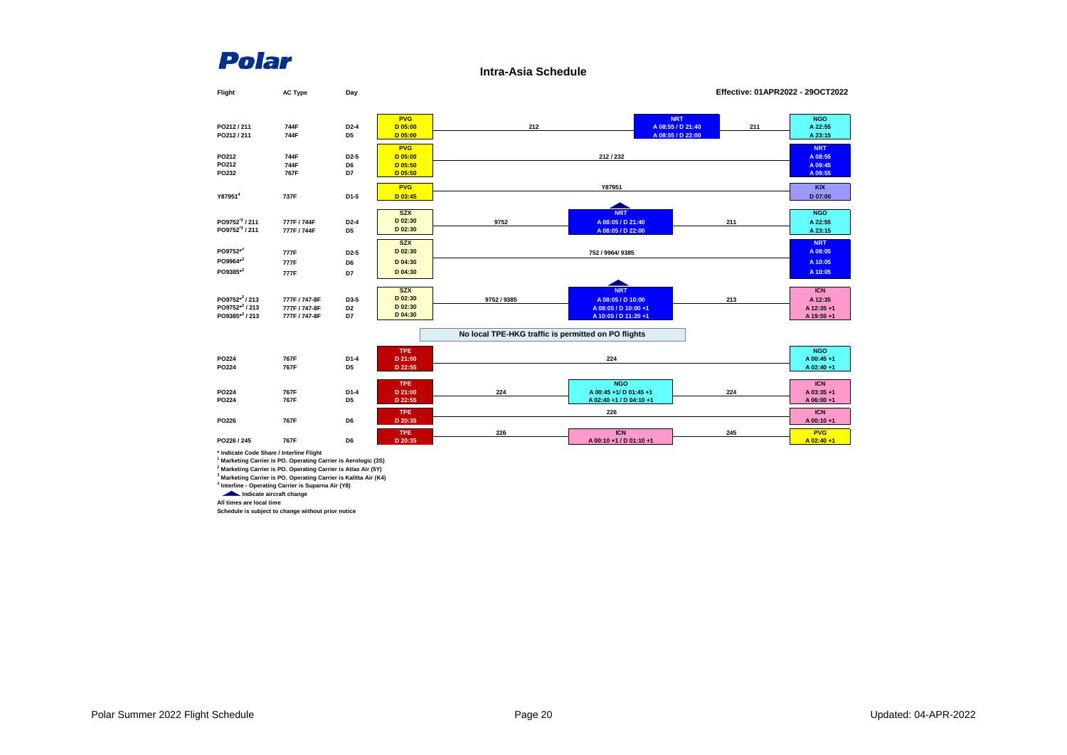**Intra-Asia Schedule**



**1 Marketing Carrier is PO. Operating Carrier is Aerologic (3S)**

**2 Marketing Carrier is PO. Operating Carrier is Atlas Air (5Y)**

**3 Marketing Carrier is PO. Operating Carrier is Kalitta Air (K4)**

**4 Interline - Operating Carrier is Suparna Air (Y8)**

**Indicate aircraft change All times are local time**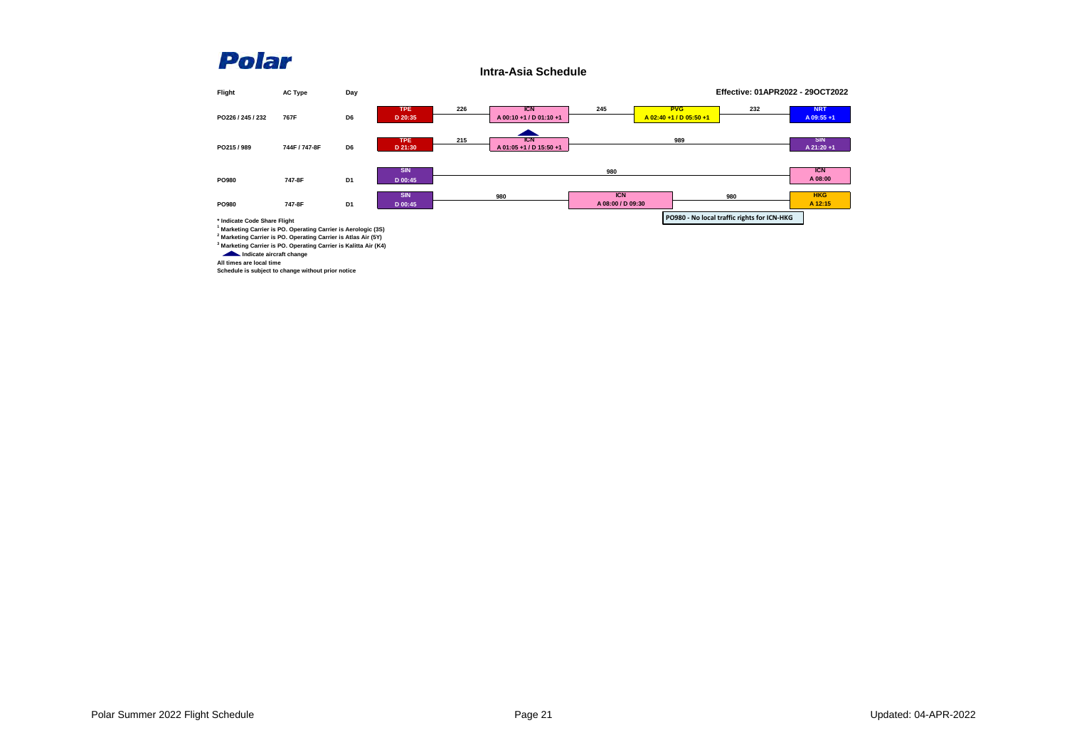**Intra-Asia Schedule**

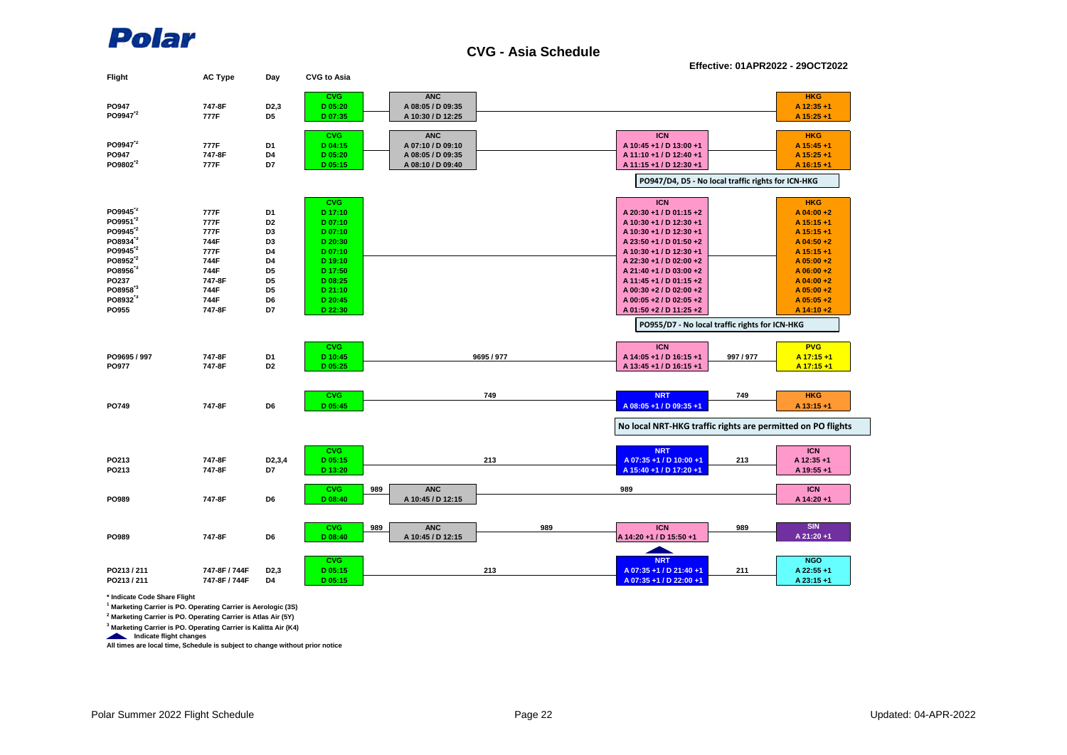

**CVG - Asia Schedule**

**Effective: 01APR2022 - 29OCT2022**

| Flight               | <b>AC Type</b> | Day                 | <b>CVG to Asia</b> |                   |            |     |                                                             |           |              |
|----------------------|----------------|---------------------|--------------------|-------------------|------------|-----|-------------------------------------------------------------|-----------|--------------|
|                      |                |                     | <b>CVG</b>         | <b>ANC</b>        |            |     |                                                             |           | <b>HKG</b>   |
| PO947                | 747-8F         | D <sub>2</sub> ,3   | D 05:20            | A 08:05 / D 09:35 |            |     |                                                             |           | A 12:35 +1   |
| PO9947 <sup>2</sup>  | 777F           | D <sub>5</sub>      | D 07:35            | A 10:30 / D 12:25 |            |     |                                                             |           | A 15:25 +1   |
|                      |                |                     | <b>CVG</b>         | <b>ANC</b>        |            |     | <b>ICN</b>                                                  |           | <b>HKG</b>   |
| PO9947 <sup>2</sup>  | 777F           | D <sub>1</sub>      | D 04:15            | A 07:10 / D 09:10 |            |     | A 10:45 +1 / D 13:00 +1                                     |           | A 15:45 +1   |
| PO947                | 747-8F         | D4                  | D 05:20            | A 08:05 / D 09:35 |            |     | A 11:10 +1 / D 12:40 +1                                     |           | A 15:25 +1   |
| PO9802 <sup>12</sup> | 777F           | D7                  | D 05:15            | A 08:10 / D 09:40 |            |     | A 11:15 +1 / D 12:30 +1                                     |           | A 16:15 +1   |
|                      |                |                     |                    |                   |            |     | PO947/D4, D5 - No local traffic rights for ICN-HKG          |           |              |
|                      |                |                     |                    |                   |            |     |                                                             |           |              |
|                      |                |                     | <b>CVG</b>         |                   |            |     | <b>ICN</b>                                                  |           | <b>HKG</b>   |
| PO9945 <sup>2</sup>  | 777F           | D1                  | D 17:10            |                   |            |     | A 20:30 +1 / D 01:15 +2                                     |           | $A$ 04:00 +2 |
| PO9951 <sup>12</sup> | 777F           | D <sub>2</sub>      | D 07:10            |                   |            |     | A 10:30 +1 / D 12:30 +1                                     |           | A 15:15 +1   |
| PO9945 <sup>"2</sup> | 777F           | D <sub>3</sub>      | D 07:10            |                   |            |     | A 10:30 +1 / D 12:30 +1                                     |           | A 15:15 +1   |
| PO8934 <sup>3</sup>  | 744F           | D <sub>3</sub>      | D 20:30            |                   |            |     | A 23:50 +1 / D 01:50 +2                                     |           | A $04:50+2$  |
| PO9945 <sup>"2</sup> | 777F           | D4                  | D 07:10            |                   |            |     | A 10:30 +1 / D 12:30 +1                                     |           | A 15:15 +1   |
| PO8952 <sup>12</sup> | 744F           | D4                  | D 19:10            |                   |            |     | A 22:30 +1 / D 02:00 +2                                     |           | $A$ 05:00 +2 |
| PO8956 <sup>3</sup>  | 744F           | D <sub>5</sub>      | D 17:50            |                   |            |     | A 21:40 +1 / D 03:00 +2                                     |           | $A$ 06:00 +2 |
| PO237                | 747-8F         | D <sub>5</sub>      | D 08:25            |                   |            |     | A 11:45 +1 / D 01:15 +2                                     |           | A $04:00+2$  |
| PO8958 <sup>3</sup>  | 744F           | D <sub>5</sub>      | D 21:10            |                   |            |     | A 00:30 +2 / D 02:00 +2                                     |           | $A$ 05:00 +2 |
| PO8932 <sup>3</sup>  | 744F           | D6                  | D 20:45            |                   |            |     | A 00:05 +2 / D 02:05 +2                                     |           | $A$ 05:05 +2 |
| PO955                | 747-8F         | D7                  | D 22:30            |                   |            |     | A 01:50 +2 / D 11:25 +2                                     |           | A 14:10+2    |
|                      |                |                     |                    |                   |            |     | PO955/D7 - No local traffic rights for ICN-HKG              |           |              |
|                      |                |                     | <b>CVG</b>         |                   |            |     | <b>ICN</b>                                                  |           | <b>PVG</b>   |
| PO9695 / 997         | 747-8F         | D <sub>1</sub>      | D 10:45            |                   | 9695 / 977 |     | A 14:05 +1 / D 16:15 +1                                     | 997 / 977 | A 17:15+1    |
| PO977                | 747-8F         | D <sub>2</sub>      | D 05:25            |                   |            |     | A 13:45 +1 / D 16:15 +1                                     |           | A 17:15 +1   |
|                      |                |                     |                    |                   |            |     |                                                             |           |              |
|                      |                |                     | <b>CVG</b>         |                   | 749        |     | <b>NRT</b>                                                  | 749       | <b>HKG</b>   |
| PO749                | 747-8F         | D6                  | D 05:45            |                   |            |     | A 08:05 +1 / D 09:35 +1                                     |           | A 13:15 +1   |
|                      |                |                     |                    |                   |            |     |                                                             |           |              |
|                      |                |                     |                    |                   |            |     | No local NRT-HKG traffic rights are permitted on PO flights |           |              |
|                      |                |                     |                    |                   |            |     |                                                             |           |              |
|                      | 747-8F         |                     | <b>CVG</b>         |                   |            |     | <b>NRT</b>                                                  |           | <b>ICN</b>   |
| PO213                |                | D <sub>2</sub> ,3,4 | D 05:15            |                   | 213        |     | A 07:35 +1 / D 10:00 +1                                     | 213       | A 12:35 +1   |
| PO213                | 747-8F         | D7                  | D 13:20            |                   |            |     | A 15:40 +1 / D 17:20 +1                                     |           | A 19:55 +1   |
|                      |                |                     | <b>CVG</b>         | 989<br><b>ANC</b> |            |     | 989                                                         |           | <b>ICN</b>   |
| PO989                | 747-8F         | D6                  | D 08:40            | A 10:45 / D 12:15 |            |     |                                                             |           | A 14:20 +1   |
|                      |                |                     |                    |                   |            |     |                                                             |           |              |
|                      |                |                     | <b>CVG</b>         | <b>ANC</b><br>989 |            | 989 | <b>ICN</b>                                                  | 989       | <b>SIN</b>   |
| PO989                | 747-8F         | D6                  | $D$ 08:40          | A 10:45 / D 12:15 |            |     | A 14:20 +1 / D 15:50 +1                                     |           | A 21:20 +1   |
|                      |                |                     |                    |                   |            |     |                                                             |           |              |
|                      |                |                     | <b>CVG</b>         |                   |            |     | <b>NRT</b>                                                  |           | <b>NGO</b>   |
| PO213/211            | 747-8F / 744F  | D <sub>2</sub> ,3   | D 05:15            |                   | 213        |     | A 07:35 +1 / D 21:40 +1                                     | 211       | A 22:55 +1   |
| PO213/211            | 747-8F / 744F  | D4                  | D 05:15            |                   |            |     | A 07:35 +1 / D 22:00 +1                                     |           | A 23:15 +1   |
|                      |                |                     |                    |                   |            |     |                                                             |           |              |

**\* Indicate Code Share Flight**

**1 Marketing Carrier is PO. Operating Carrier is Aerologic (3S)**

**2 Marketing Carrier is PO. Operating Carrier is Atlas Air (5Y)**

**3 Marketing Carrier is PO. Operating Carrier is Kalitta Air (K4)**

 **Indicate flight changes All times are local time, Schedule is subject to change without prior notice**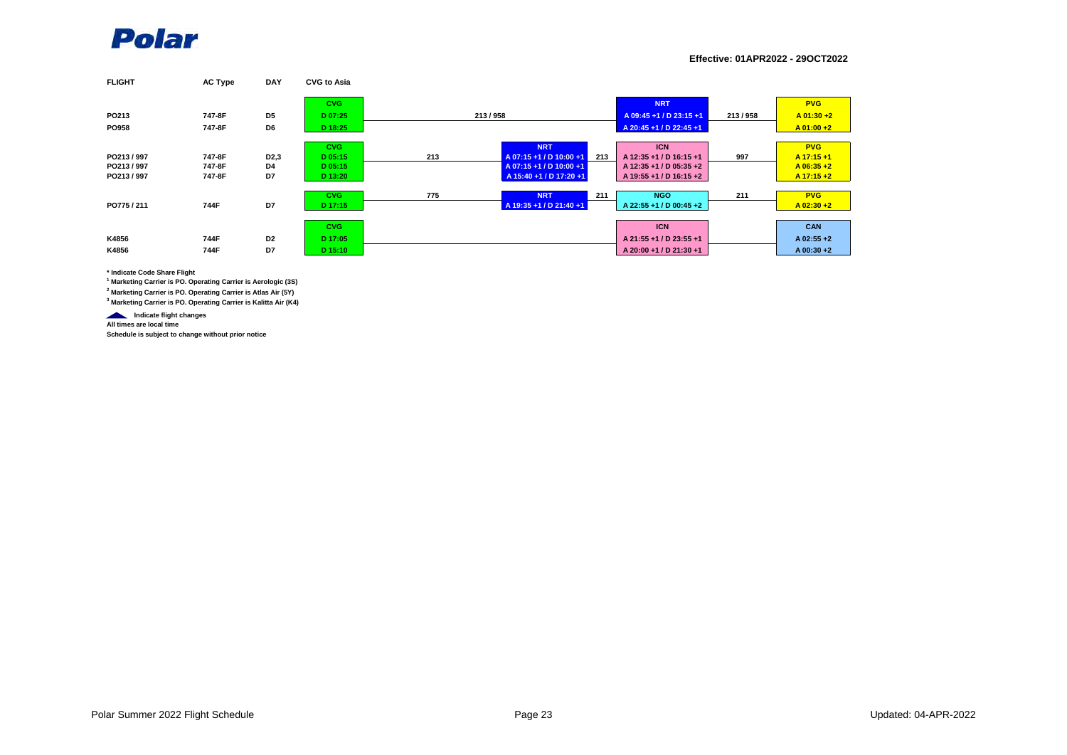

**Effective: 01APR2022 - 29OCT2022**

| <b>FLIGHT</b> | <b>AC Type</b> | <b>DAY</b>        | <b>CVG to Asia</b> |     |                         |     |                         |         |              |
|---------------|----------------|-------------------|--------------------|-----|-------------------------|-----|-------------------------|---------|--------------|
|               |                |                   | <b>CVG</b>         |     |                         |     | <b>NRT</b>              |         | <b>PVG</b>   |
| PO213         | 747-8F         | D <sub>5</sub>    | D 07:25            |     | 213/958                 |     | A 09:45 +1 / D 23:15 +1 | 213/958 | $A$ 01:30 +2 |
| <b>PO958</b>  | 747-8F         | D6                | D 18:25            |     |                         |     | A 20:45 +1 / D 22:45 +1 |         | $A$ 01:00 +2 |
|               |                |                   | <b>CVG</b>         |     | <b>NRT</b>              |     | <b>ICN</b>              |         | <b>PVG</b>   |
| PO213/997     | 747-8F         | D <sub>2</sub> ,3 | D 05:15            | 213 | A 07:15 +1 / D 10:00 +1 | 213 | A 12:35 +1 / D 16:15 +1 | 997     | $A$ 17:15 +1 |
| PO213/997     | 747-8F         | D4                | D 05:15            |     | A 07:15+1 / D 10:00+1   |     | A 12:35 +1 / D 05:35 +2 |         | $A$ 06:35 +2 |
| PO213/997     | 747-8F         | D7                | D 13:20            |     | A 15:40 +1 / D 17:20 +1 |     | A 19:55 +1 / D 16:15 +2 |         | $A$ 17:15 +2 |
|               |                |                   | <b>CVG</b>         | 775 | <b>NRT</b>              | 211 | <b>NGO</b>              | 211     | <b>PVG</b>   |
| PO775/211     | 744F           | D7                | D 17:15            |     | A 19:35 +1 / D 21:40 +1 |     | A 22:55 +1 / D 00:45 +2 |         | $A$ 02:30 +2 |
|               |                |                   |                    |     |                         |     |                         |         |              |
|               |                |                   | <b>CVG</b>         |     |                         |     | <b>ICN</b>              |         | <b>CAN</b>   |
| K4856         | 744F           | D <sub>2</sub>    | D 17:05            |     |                         |     | A 21:55 +1 / D 23:55 +1 |         | $A$ 02:55 +2 |
| K4856         | 744F           | D7                | D 15:10            |     |                         |     | A 20:00 +1 / D 21:30 +1 |         | $A$ 00:30 +2 |

**\* Indicate Code Share Flight**

**1 Marketing Carrier is PO. Operating Carrier is Aerologic (3S)**

**2 Marketing Carrier is PO. Operating Carrier is Atlas Air (5Y)**

**3 Marketing Carrier is PO. Operating Carrier is Kalitta Air (K4)**

 **Indicate flight changes All times are local time**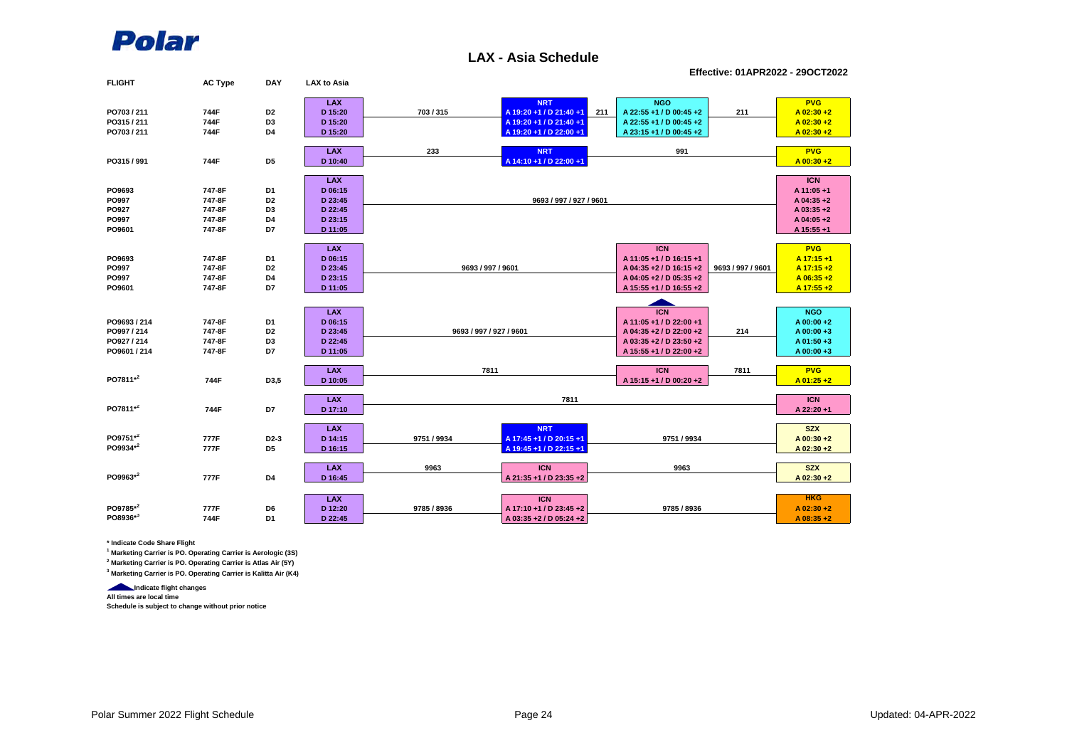

#### **LAX - Asia Schedule**

**Effective: 01APR2022 - 29OCT2022**

| <b>FLIGHT</b> | <b>AC Type</b> | <b>DAY</b>        | <b>LAX to Asia</b> |                         |                                |                           |                   |              |
|---------------|----------------|-------------------|--------------------|-------------------------|--------------------------------|---------------------------|-------------------|--------------|
|               |                |                   | <b>LAX</b>         |                         | <b>NRT</b>                     | <b>NGO</b>                |                   | <b>PVG</b>   |
| PO703 / 211   | 744F           | D <sub>2</sub>    | D 15:20            | 703/315                 | A 19:20 +1 / D 21:40 +1<br>211 | A 22:55 +1 / D 00:45 +2   | 211               | $A$ 02:30 +2 |
| PO315/211     | 744F           | D3                | D 15:20            |                         | A 19:20 +1 / D 21:40 +1        | A 22:55 +1 / D 00:45 +2   |                   | $A$ 02:30 +2 |
| PO703/211     | 744F           | D <sub>4</sub>    | D 15:20            |                         | A 19:20 +1 / D 22:00 +1        | A 23:15 +1 / D 00:45 +2   |                   | $A$ 02:30 +2 |
|               |                |                   |                    |                         |                                |                           |                   |              |
|               |                |                   | <b>LAX</b>         | 233                     | <b>NRT</b>                     | 991                       |                   | <b>PVG</b>   |
| PO315/991     | 744F           | D <sub>5</sub>    | D 10:40            |                         | A 14:10 +1 / D 22:00 +1        |                           |                   | $A$ 00:30 +2 |
|               |                |                   |                    |                         |                                |                           |                   |              |
|               |                |                   | <b>LAX</b>         |                         |                                |                           |                   | <b>ICN</b>   |
| PO9693        | 747-8F         | D1                | D 06:15            |                         |                                |                           |                   | A 11:05 +1   |
| PO997         | 747-8F         | D <sub>2</sub>    | D 23:45            |                         | 9693 / 997 / 927 / 9601        |                           |                   | A 04:35+2    |
| <b>PO927</b>  | 747-8F         | D3                | D 22:45            |                         |                                |                           |                   | A 03:35 +2   |
| PO997         | 747-8F         | D4                | D 23:15            |                         |                                |                           |                   | A 04:05+2    |
| PO9601        | 747-8F         | D7                | D 11:05            |                         |                                |                           |                   | A 15:55 +1   |
|               |                |                   |                    |                         |                                |                           |                   |              |
|               |                |                   | <b>LAX</b>         |                         |                                | <b>ICN</b>                |                   | <b>PVG</b>   |
| PO9693        | 747-8F         | D <sub>1</sub>    | D 06:15            |                         |                                | A 11:05 +1 / D 16:15 +1   |                   | A 17:15+1    |
| PO997         | 747-8F         | D <sub>2</sub>    | D 23:45            | 9693 / 997 / 9601       |                                | A 04:35 +2 / D 16:15 +2   | 9693 / 997 / 9601 | A 17:15 +2   |
| PO997         | 747-8F         | D4                | D 23:15            |                         |                                | A 04:05 + 2 / D 05:35 + 2 |                   | $A$ 06:35 +2 |
| PO9601        | 747-8F         | D7                | D 11:05            |                         |                                | A 15:55 +1 / D 16:55 +2   |                   | A 17:55 +2   |
|               |                |                   |                    |                         |                                |                           |                   |              |
|               |                |                   | <b>LAX</b>         |                         |                                | <b>ICN</b>                |                   | <b>NGO</b>   |
| PO9693 / 214  | 747-8F         | D <sub>1</sub>    | D 06:15            |                         |                                | A 11:05 +1 / D 22:00 +1   |                   | A 00:00 +2   |
| PO997 / 214   | 747-8F         | D <sub>2</sub>    | D 23:45            | 9693 / 997 / 927 / 9601 |                                | A 04:35 +2 / D 22:00 +2   | 214               | A 00:00+3    |
| PO927 / 214   | 747-8F         | D <sub>3</sub>    | D 22:45            |                         |                                | A 03:35 +2 / D 23:50 +2   |                   | A 01:50 +3   |
| PO9601 / 214  | 747-8F         | D7                | D 11:05            |                         |                                | A 15:55 +1 / D 22:00 +2   |                   | $A$ 00:00 +3 |
|               |                |                   |                    |                         |                                |                           |                   |              |
|               |                |                   | <b>LAX</b>         | 7811                    |                                | <b>ICN</b>                | 7811              | <b>PVG</b>   |
| PO7811*2      | 744F           | D3,5              | D 10:05            |                         |                                | A 15:15 +1 / D 00:20 +2   |                   | $A$ 01:25 +2 |
|               |                |                   |                    |                         |                                |                           |                   |              |
| PO7811*2      |                | D7                | <b>LAX</b>         |                         | 7811                           |                           |                   | <b>ICN</b>   |
|               | 744F           |                   | D 17:10            |                         |                                |                           |                   | A 22:20 +1   |
|               |                |                   | <b>LAX</b>         |                         | <b>NRT</b>                     |                           |                   | <b>SZX</b>   |
| PO9751*2      | 777F           | D <sub>2</sub> -3 | D 14:15            | 9751 / 9934             | A 17:45 +1 / D 20:15 +1        | 9751 / 9934               |                   | A 00:30 +2   |
| PO9934*2      | 777F           | D <sub>5</sub>    | D 16:15            |                         | A 19:45 +1 / D 22:15 +1        |                           |                   | A 02:30 +2   |
|               |                |                   |                    |                         |                                |                           |                   |              |
|               |                |                   | <b>LAX</b>         | 9963                    | <b>ICN</b>                     | 9963                      |                   | <b>SZX</b>   |
| PO9963*2      | 777F           | D <sub>4</sub>    | D 16:45            |                         | A 21:35 +1 / D 23:35 +2        |                           |                   | A 02:30 +2   |
|               |                |                   |                    |                         |                                |                           |                   |              |
|               |                |                   | <b>LAX</b>         |                         | <b>ICN</b>                     |                           |                   | <b>HKG</b>   |
| PO9785*2      | 777F           | D6                | D 12:20            | 9785 / 8936             | A 17:10 +1 / D 23:45 +2        | 9785 / 8936               |                   | $A$ 02:30 +2 |
| PO8936*3      | 744F           | D <sub>1</sub>    | D 22:45            |                         | A 03:35 +2 / D 05:24 +2        |                           |                   | $A$ 08:35 +2 |
|               |                |                   |                    |                         |                                |                           |                   |              |

**\* Indicate Code Share Flight**

**1 Marketing Carrier is PO. Operating Carrier is Aerologic (3S)**

**2 Marketing Carrier is PO. Operating Carrier is Atlas Air (5Y)**

**3 Marketing Carrier is PO. Operating Carrier is Kalitta Air (K4)**

**Indicate flight changes** 

**All times are local time Schedule is subject to change without prior notice**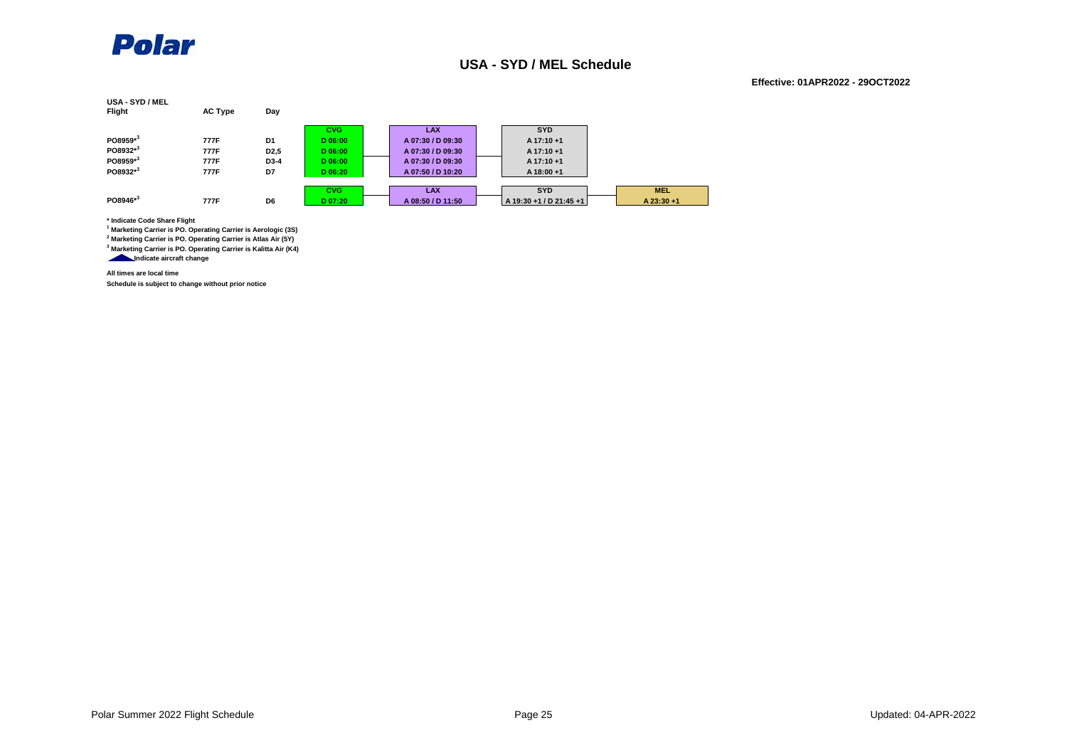

#### **USA - SYD / MEL Schedule**

#### **Effective: 01APR2022 - 29OCT2022**

| USA - SYD / MEL<br><b>Flight</b> | <b>AC Type</b> | Day               |            |                   |                         |            |
|----------------------------------|----------------|-------------------|------------|-------------------|-------------------------|------------|
|                                  |                |                   | <b>CVG</b> | <b>LAX</b>        | <b>SYD</b>              |            |
| PO8959*3                         | 777F           | D1                | D 06:00    | A 07:30 / D 09:30 | $A$ 17:10 +1            |            |
| PO8932*3                         | 777F           | D <sub>2</sub> ,5 | D 06:00    | A 07:30 / D 09:30 | $A$ 17:10 +1            |            |
| PO8959*3                         | 777F           | D3-4              | D 06:00    | A 07:30 / D 09:30 | $A$ 17:10 +1            |            |
| PO8932*3                         | 777F           | D7                | D 06:20    | A 07:50 / D 10:20 | A 18:00 +1              |            |
|                                  |                |                   | <b>CVG</b> | <b>LAX</b>        | <b>SYD</b>              | <b>MEL</b> |
| PO8946*3                         | 777F           | D6                | D 07:20    | A 08:50 / D 11:50 | A 19:30 +1 / D 21:45 +1 | A 23:30 +1 |

**\* Indicate Code Share Flight**

**1 Marketing Carrier is PO. Operating Carrier is Aerologic (3S)**

**2 Marketing Carrier is PO. Operating Carrier is Atlas Air (5Y)**

**3 Marketing Carrier is PO. Operating Carrier is Kalitta Air (K4) Indicate aircraft change**

**All times are local time**